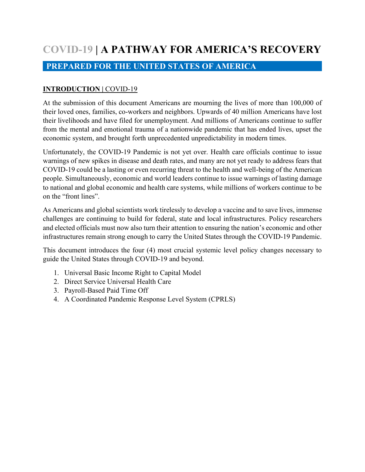# **COVID-19 | A PATHWAY FOR AMERICA'S RECOVERY**

# **PREPARED FOR THE UNITED STATES OF AMERICA**

## **INTRODUCTION |** COVID-19

At the submission of this document Americans are mourning the lives of more than 100,000 of their loved ones, families, co-workers and neighbors. Upwards of 40 million Americans have lost their livelihoods and have filed for unemployment. And millions of Americans continue to suffer from the mental and emotional trauma of a nationwide pandemic that has ended lives, upset the economic system, and brought forth unprecedented unpredictability in modern times.

Unfortunately, the COVID-19 Pandemic is not yet over. Health care officials continue to issue warnings of new spikes in disease and death rates, and many are not yet ready to address fears that COVID-19 could be a lasting or even recurring threat to the health and well-being of the American people. Simultaneously, economic and world leaders continue to issue warnings of lasting damage to national and global economic and health care systems, while millions of workers continue to be on the "front lines".

As Americans and global scientists work tirelessly to develop a vaccine and to save lives, immense challenges are continuing to build for federal, state and local infrastructures. Policy researchers and elected officials must now also turn their attention to ensuring the nation's economic and other infrastructures remain strong enough to carry the United States through the COVID-19 Pandemic.

This document introduces the four (4) most crucial systemic level policy changes necessary to guide the United States through COVID-19 and beyond.

- 1. Universal Basic Income Right to Capital Model
- 2. Direct Service Universal Health Care
- 3. Payroll-Based Paid Time Off
- 4. A Coordinated Pandemic Response Level System (CPRLS)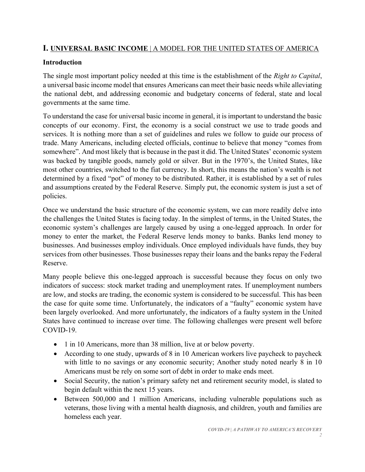# **I. UNIVERSAL BASIC INCOME** | A MODEL FOR THE UNITED STATES OF AMERICA

# **Introduction**

The single most important policy needed at this time is the establishment of the *Right to Capital*, a universal basic income model that ensures Americans can meet their basic needs while alleviating the national debt, and addressing economic and budgetary concerns of federal, state and local governments at the same time.

To understand the case for universal basic income in general, it is important to understand the basic concepts of our economy. First, the economy is a social construct we use to trade goods and services. It is nothing more than a set of guidelines and rules we follow to guide our process of trade. Many Americans, including elected officials, continue to believe that money "comes from somewhere". And most likely that is because in the past it did. The United States' economic system was backed by tangible goods, namely gold or silver. But in the 1970's, the United States, like most other countries, switched to the fiat currency. In short, this means the nation's wealth is not determined by a fixed "pot" of money to be distributed. Rather, it is established by a set of rules and assumptions created by the Federal Reserve. Simply put, the economic system is just a set of policies.

Once we understand the basic structure of the economic system, we can more readily delve into the challenges the United States is facing today. In the simplest of terms, in the United States, the economic system's challenges are largely caused by using a one-legged approach. In order for money to enter the market, the Federal Reserve lends money to banks. Banks lend money to businesses. And businesses employ individuals. Once employed individuals have funds, they buy services from other businesses. Those businesses repay their loans and the banks repay the Federal Reserve.

Many people believe this one-legged approach is successful because they focus on only two indicators of success: stock market trading and unemployment rates. If unemployment numbers are low, and stocks are trading, the economic system is considered to be successful. This has been the case for quite some time. Unfortunately, the indicators of a "faulty" economic system have been largely overlooked. And more unfortunately, the indicators of a faulty system in the United States have continued to increase over time. The following challenges were present well before COVID-19.

- 1 in 10 Americans, more than 38 million, live at or below poverty.
- According to one study, upwards of 8 in 10 American workers live paycheck to paycheck with little to no savings or any economic security; Another study noted nearly 8 in 10 Americans must be rely on some sort of debt in order to make ends meet.
- Social Security, the nation's primary safety net and retirement security model, is slated to begin default within the next 15 years.
- Between 500,000 and 1 million Americans, including vulnerable populations such as veterans, those living with a mental health diagnosis, and children, youth and families are homeless each year.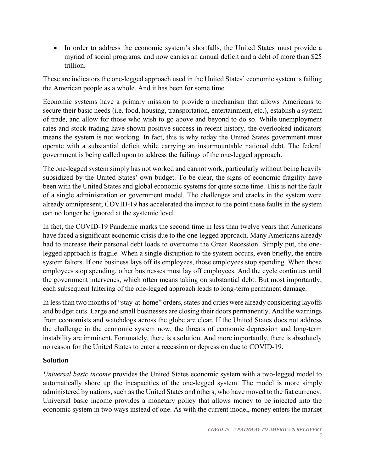• In order to address the economic system's shortfalls, the United States must provide a myriad of social programs, and now carries an annual deficit and a debt of more than \$25 trillion.

These are indicators the one-legged approach used in the United States' economic system is failing the American people as a whole. And it has been for some time.

Economic systems have a primary mission to provide a mechanism that allows Americans to secure their basic needs (i.e. food, housing, transportation, entertainment, etc.), establish a system of trade, and allow for those who wish to go above and beyond to do so. While unemployment rates and stock trading have shown positive success in recent history, the overlooked indicators means the system is not working. In fact, this is why today the United States government must operate with a substantial deficit while carrying an insurmountable national debt. The federal government is being called upon to address the failings of the one-legged approach.

The one-legged system simply has not worked and cannot work, particularly without being heavily subsidized by the United States' own budget. To be clear, the signs of economic fragility have been with the United States and global economic systems for quite some time. This is not the fault of a single administration or government model. The challenges and cracks in the system were already omnipresent; COVID-19 has accelerated the impact to the point these faults in the system can no longer be ignored at the systemic level.

In fact, the COVID-19 Pandemic marks the second time in less than twelve years that Americans have faced a significant economic crisis due to the one-legged approach. Many Americans already had to increase their personal debt loads to overcome the Great Recession. Simply put, the onelegged approach is fragile. When a single disruption to the system occurs, even briefly, the entire system falters. If one business lays off its employees, those employees stop spending. When those employees stop spending, other businesses must lay off employees. And the cycle continues until the government intervenes, which often means taking on substantial debt. But most importantly, each subsequent faltering of the one-legged approach leads to long-term permanent damage.

In less than two months of "stay-at-home" orders, states and cities were already considering layoffs and budget cuts. Large and small businesses are closing their doors permanently. And the warnings from economists and watchdogs across the globe are clear. If the United States does not address the challenge in the economic system now, the threats of economic depression and long-term instability are imminent. Fortunately, there is a solution. And more importantly, there is absolutely no reason for the United States to enter a recession or depression due to COVID-19.

## **Solution**

*Universal basic income* provides the United States economic system with a two-legged model to automatically shore up the incapacities of the one-legged system. The model is more simply administered by nations, such as the United States and others, who have moved to the fiat currency. Universal basic income provides a monetary policy that allows money to be injected into the economic system in two ways instead of one. As with the current model, money enters the market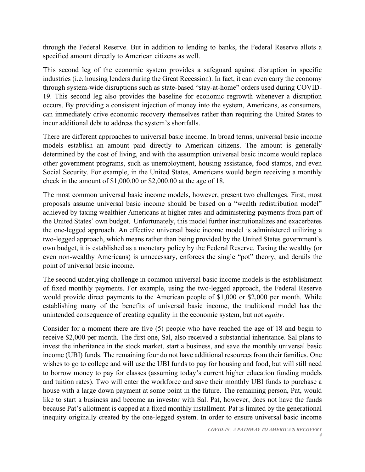through the Federal Reserve. But in addition to lending to banks, the Federal Reserve allots a specified amount directly to American citizens as well.

This second leg of the economic system provides a safeguard against disruption in specific industries (i.e. housing lenders during the Great Recession). In fact, it can even carry the economy through system-wide disruptions such as state-based "stay-at-home" orders used during COVID-19. This second leg also provides the baseline for economic regrowth whenever a disruption occurs. By providing a consistent injection of money into the system, Americans, as consumers, can immediately drive economic recovery themselves rather than requiring the United States to incur additional debt to address the system's shortfalls.

There are different approaches to universal basic income. In broad terms, universal basic income models establish an amount paid directly to American citizens. The amount is generally determined by the cost of living, and with the assumption universal basic income would replace other government programs, such as unemployment, housing assistance, food stamps, and even Social Security. For example, in the United States, Americans would begin receiving a monthly check in the amount of \$1,000.00 or \$2,000.00 at the age of 18.

The most common universal basic income models, however, present two challenges. First, most proposals assume universal basic income should be based on a "wealth redistribution model" achieved by taxing wealthier Americans at higher rates and administering payments from part of the United States' own budget. Unfortunately, this model further institutionalizes and exacerbates the one-legged approach. An effective universal basic income model is administered utilizing a two-legged approach, which means rather than being provided by the United States government's own budget, it is established as a monetary policy by the Federal Reserve. Taxing the wealthy (or even non-wealthy Americans) is unnecessary, enforces the single "pot" theory, and derails the point of universal basic income.

The second underlying challenge in common universal basic income models is the establishment of fixed monthly payments. For example, using the two-legged approach, the Federal Reserve would provide direct payments to the American people of \$1,000 or \$2,000 per month. While establishing many of the benefits of universal basic income, the traditional model has the unintended consequence of creating equality in the economic system, but not *equity*.

Consider for a moment there are five (5) people who have reached the age of 18 and begin to receive \$2,000 per month. The first one, Sal, also received a substantial inheritance. Sal plans to invest the inheritance in the stock market, start a business, and save the monthly universal basic income (UBI) funds. The remaining four do not have additional resources from their families. One wishes to go to college and will use the UBI funds to pay for housing and food, but will still need to borrow money to pay for classes (assuming today's current higher education funding models and tuition rates). Two will enter the workforce and save their monthly UBI funds to purchase a house with a large down payment at some point in the future. The remaining person, Pat, would like to start a business and become an investor with Sal. Pat, however, does not have the funds because Pat's allotment is capped at a fixed monthly installment. Pat is limited by the generational inequity originally created by the one-legged system. In order to ensure universal basic income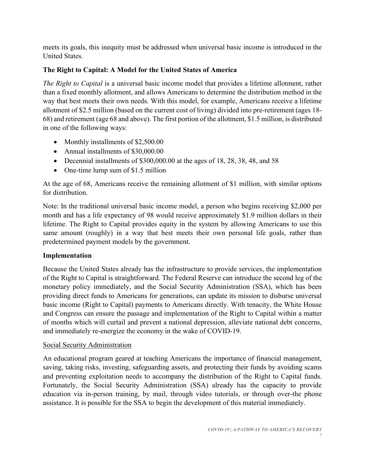meets its goals, this inequity must be addressed when universal basic income is introduced in the United States.

# **The Right to Capital: A Model for the United States of America**

*The Right to Capital* is a universal basic income model that provides a lifetime allotment, rather than a fixed monthly allotment, and allows Americans to determine the distribution method in the way that best meets their own needs. With this model, for example, Americans receive a lifetime allotment of \$2.5 million (based on the current cost of living) divided into pre-retirement (ages 18- 68) and retirement (age 68 and above). The first portion of the allotment, \$1.5 million, is distributed in one of the following ways:

- Monthly installments of \$2,500.00
- Annual installments of \$30,000.00
- Decennial installments of  $$300,000.00$  at the ages of 18, 28, 38, 48, and 58
- One-time lump sum of \$1.5 million

At the age of 68, Americans receive the remaining allotment of \$1 million, with similar options for distribution.

Note: In the traditional universal basic income model, a person who begins receiving \$2,000 per month and has a life expectancy of 98 would receive approximately \$1.9 million dollars in their lifetime. The Right to Capital provides equity in the system by allowing Americans to use this same amount (roughly) in a way that best meets their own personal life goals, rather than predetermined payment models by the government.

# **Implementation**

Because the United States already has the infrastructure to provide services, the implementation of the Right to Capital is straightforward. The Federal Reserve can introduce the second leg of the monetary policy immediately, and the Social Security Administration (SSA), which has been providing direct funds to Americans for generations, can update its mission to disburse universal basic income (Right to Capital) payments to Americans directly. With tenacity, the White House and Congress can ensure the passage and implementation of the Right to Capital within a matter of months which will curtail and prevent a national depression, alleviate national debt concerns, and immediately re-energize the economy in the wake of COVID-19.

# Social Security Administration

An educational program geared at teaching Americans the importance of financial management, saving, taking risks, investing, safeguarding assets, and protecting their funds by avoiding scams and preventing exploitation needs to accompany the distribution of the Right to Capital funds. Fortunately, the Social Security Administration (SSA) already has the capacity to provide education via in-person training, by mail, through video tutorials, or through over-the phone assistance. It is possible for the SSA to begin the development of this material immediately.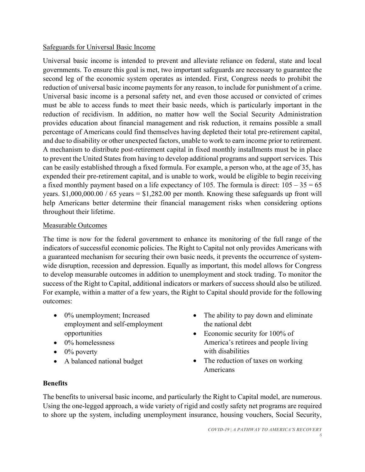#### Safeguards for Universal Basic Income

Universal basic income is intended to prevent and alleviate reliance on federal, state and local governments. To ensure this goal is met, two important safeguards are necessary to guarantee the second leg of the economic system operates as intended. First, Congress needs to prohibit the reduction of universal basic income payments for any reason, to include for punishment of a crime. Universal basic income is a personal safety net, and even those accused or convicted of crimes must be able to access funds to meet their basic needs, which is particularly important in the reduction of recidivism. In addition, no matter how well the Social Security Administration provides education about financial management and risk reduction, it remains possible a small percentage of Americans could find themselves having depleted their total pre-retirement capital, and due to disability or other unexpected factors, unable to work to earn income prior to retirement. A mechanism to distribute post-retirement capital in fixed monthly installments must be in place to prevent the United States from having to develop additional programs and support services. This can be easily established through a fixed formula. For example, a person who, at the age of 35, has expended their pre-retirement capital, and is unable to work, would be eligible to begin receiving a fixed monthly payment based on a life expectancy of 105. The formula is direct:  $105 - 35 = 65$ years.  $$1,000,000.00 / 65$  years =  $$1,282.00$  per month. Knowing these safeguards up front will help Americans better determine their financial management risks when considering options throughout their lifetime.

#### Measurable Outcomes

The time is now for the federal government to enhance its monitoring of the full range of the indicators of successful economic policies. The Right to Capital not only provides Americans with a guaranteed mechanism for securing their own basic needs, it prevents the occurrence of systemwide disruption, recession and depression. Equally as important, this model allows for Congress to develop measurable outcomes in addition to unemployment and stock trading. To monitor the success of the Right to Capital, additional indicators or markers of success should also be utilized. For example, within a matter of a few years, the Right to Capital should provide for the following outcomes:

- 0% unemployment; Increased employment and self-employment opportunities
- 0% homelessness
- $\bullet$  0% poverty
- A balanced national budget
- The ability to pay down and eliminate the national debt
- Economic security for 100% of America's retirees and people living with disabilities
- The reduction of taxes on working Americans

# **Benefits**

The benefits to universal basic income, and particularly the Right to Capital model, are numerous. Using the one-legged approach, a wide variety of rigid and costly safety net programs are required to shore up the system, including unemployment insurance, housing vouchers, Social Security,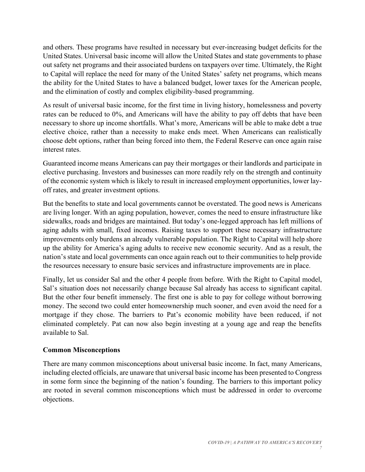and others. These programs have resulted in necessary but ever-increasing budget deficits for the United States. Universal basic income will allow the United States and state governments to phase out safety net programs and their associated burdens on taxpayers over time. Ultimately, the Right to Capital will replace the need for many of the United States' safety net programs, which means the ability for the United States to have a balanced budget, lower taxes for the American people, and the elimination of costly and complex eligibility-based programming.

As result of universal basic income, for the first time in living history, homelessness and poverty rates can be reduced to 0%, and Americans will have the ability to pay off debts that have been necessary to shore up income shortfalls. What's more, Americans will be able to make debt a true elective choice, rather than a necessity to make ends meet. When Americans can realistically choose debt options, rather than being forced into them, the Federal Reserve can once again raise interest rates.

Guaranteed income means Americans can pay their mortgages or their landlords and participate in elective purchasing. Investors and businesses can more readily rely on the strength and continuity of the economic system which is likely to result in increased employment opportunities, lower layoff rates, and greater investment options.

But the benefits to state and local governments cannot be overstated. The good news is Americans are living longer. With an aging population, however, comes the need to ensure infrastructure like sidewalks, roads and bridges are maintained. But today's one-legged approach has left millions of aging adults with small, fixed incomes. Raising taxes to support these necessary infrastructure improvements only burdens an already vulnerable population. The Right to Capital will help shore up the ability for America's aging adults to receive new economic security. And as a result, the nation's state and local governments can once again reach out to their communities to help provide the resources necessary to ensure basic services and infrastructure improvements are in place.

Finally, let us consider Sal and the other 4 people from before. With the Right to Capital model, Sal's situation does not necessarily change because Sal already has access to significant capital. But the other four benefit immensely. The first one is able to pay for college without borrowing money. The second two could enter homeownership much sooner, and even avoid the need for a mortgage if they chose. The barriers to Pat's economic mobility have been reduced, if not eliminated completely. Pat can now also begin investing at a young age and reap the benefits available to Sal.

## **Common Misconceptions**

There are many common misconceptions about universal basic income. In fact, many Americans, including elected officials, are unaware that universal basic income has been presented to Congress in some form since the beginning of the nation's founding. The barriers to this important policy are rooted in several common misconceptions which must be addressed in order to overcome objections.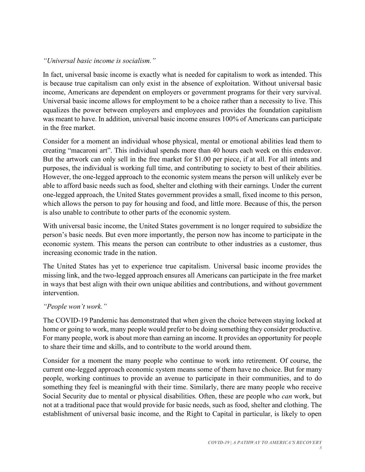#### *"Universal basic income is socialism."*

In fact, universal basic income is exactly what is needed for capitalism to work as intended. This is because true capitalism can only exist in the absence of exploitation. Without universal basic income, Americans are dependent on employers or government programs for their very survival. Universal basic income allows for employment to be a choice rather than a necessity to live. This equalizes the power between employers and employees and provides the foundation capitalism was meant to have. In addition, universal basic income ensures 100% of Americans can participate in the free market.

Consider for a moment an individual whose physical, mental or emotional abilities lead them to creating "macaroni art". This individual spends more than 40 hours each week on this endeavor. But the artwork can only sell in the free market for \$1.00 per piece, if at all. For all intents and purposes, the individual is working full time, and contributing to society to best of their abilities. However, the one-legged approach to the economic system means the person will unlikely ever be able to afford basic needs such as food, shelter and clothing with their earnings. Under the current one-legged approach, the United States government provides a small, fixed income to this person, which allows the person to pay for housing and food, and little more. Because of this, the person is also unable to contribute to other parts of the economic system.

With universal basic income, the United States government is no longer required to subsidize the person's basic needs. But even more importantly, the person now has income to participate in the economic system. This means the person can contribute to other industries as a customer, thus increasing economic trade in the nation.

The United States has yet to experience true capitalism. Universal basic income provides the missing link, and the two-legged approach ensures all Americans can participate in the free market in ways that best align with their own unique abilities and contributions, and without government intervention.

## *"People won't work."*

The COVID-19 Pandemic has demonstrated that when given the choice between staying locked at home or going to work, many people would prefer to be doing something they consider productive. For many people, work is about more than earning an income. It provides an opportunity for people to share their time and skills, and to contribute to the world around them.

Consider for a moment the many people who continue to work into retirement. Of course, the current one-legged approach economic system means some of them have no choice. But for many people, working continues to provide an avenue to participate in their communities, and to do something they feel is meaningful with their time. Similarly, there are many people who receive Social Security due to mental or physical disabilities. Often, these are people who *can* work, but not at a traditional pace that would provide for basic needs, such as food, shelter and clothing. The establishment of universal basic income, and the Right to Capital in particular, is likely to open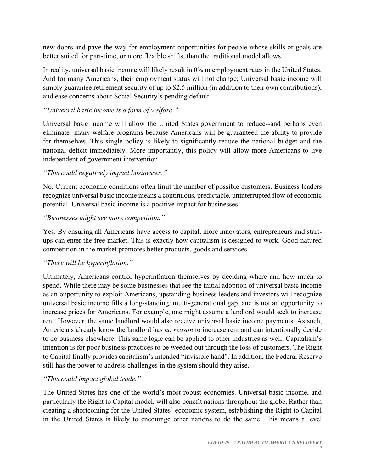new doors and pave the way for employment opportunities for people whose skills or goals are better suited for part-time, or more flexible shifts, than the traditional model allows.

In reality, universal basic income will likely result in 0% unemployment rates in the United States. And for many Americans, their employment status will not change; Universal basic income will simply guarantee retirement security of up to \$2.5 million (in addition to their own contributions), and ease concerns about Social Security's pending default.

## *"Universal basic income is a form of welfare."*

Universal basic income will allow the United States government to reduce--and perhaps even eliminate--many welfare programs because Americans will be guaranteed the ability to provide for themselves. This single policy is likely to significantly reduce the national budget and the national deficit immediately. More importantly, this policy will allow more Americans to live independent of government intervention.

## *"This could negatively impact businesses."*

No. Current economic conditions often limit the number of possible customers. Business leaders recognize universal basic income means a continuous, predictable, uninterrupted flow of economic potential. Universal basic income is a positive impact for businesses.

## *"Businesses might see more competition."*

Yes. By ensuring all Americans have access to capital, more innovators, entrepreneurs and startups can enter the free market. This is exactly how capitalism is designed to work. Good-natured competition in the market promotes better products, goods and services.

## *"There will be hyperinflation."*

Ultimately, Americans control hyperinflation themselves by deciding where and how much to spend. While there may be some businesses that see the initial adoption of universal basic income as an opportunity to exploit Americans, upstanding business leaders and investors will recognize universal basic income fills a long-standing, multi-generational gap, and is not an opportunity to increase prices for Americans. For example, one might assume a landlord would seek to increase rent. However, the same landlord would also receive universal basic income payments. As such, Americans already know the landlord has *no reason* to increase rent and can intentionally decide to do business elsewhere. This same logic can be applied to other industries as well. Capitalism's intention is for poor business practices to be weeded out through the loss of customers. The Right to Capital finally provides capitalism's intended "invisible hand". In addition, the Federal Reserve still has the power to address challenges in the system should they arise.

## *"This could impact global trade."*

The United States has one of the world's most robust economies. Universal basic income, and particularly the Right to Capital model, will also benefit nations throughout the globe. Rather than creating a shortcoming for the United States' economic system, establishing the Right to Capital in the United States is likely to encourage other nations to do the same. This means a level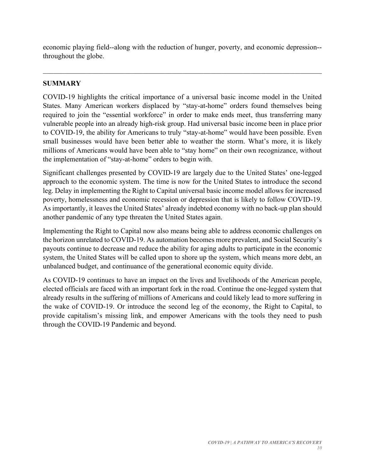economic playing field--along with the reduction of hunger, poverty, and economic depression- throughout the globe.

## **SUMMARY**

COVID-19 highlights the critical importance of a universal basic income model in the United States. Many American workers displaced by "stay-at-home" orders found themselves being required to join the "essential workforce" in order to make ends meet, thus transferring many vulnerable people into an already high-risk group. Had universal basic income been in place prior to COVID-19, the ability for Americans to truly "stay-at-home" would have been possible. Even small businesses would have been better able to weather the storm. What's more, it is likely millions of Americans would have been able to "stay home" on their own recognizance, without the implementation of "stay-at-home" orders to begin with.

Significant challenges presented by COVID-19 are largely due to the United States' one-legged approach to the economic system. The time is now for the United States to introduce the second leg. Delay in implementing the Right to Capital universal basic income model allows for increased poverty, homelessness and economic recession or depression that is likely to follow COVID-19. As importantly, it leaves the United States' already indebted economy with no back-up plan should another pandemic of any type threaten the United States again.

Implementing the Right to Capital now also means being able to address economic challenges on the horizon unrelated to COVID-19. As automation becomes more prevalent, and Social Security's payouts continue to decrease and reduce the ability for aging adults to participate in the economic system, the United States will be called upon to shore up the system, which means more debt, an unbalanced budget, and continuance of the generational economic equity divide.

As COVID-19 continues to have an impact on the lives and livelihoods of the American people, elected officials are faced with an important fork in the road. Continue the one-legged system that already results in the suffering of millions of Americans and could likely lead to more suffering in the wake of COVID-19. Or introduce the second leg of the economy, the Right to Capital, to provide capitalism's missing link, and empower Americans with the tools they need to push through the COVID-19 Pandemic and beyond.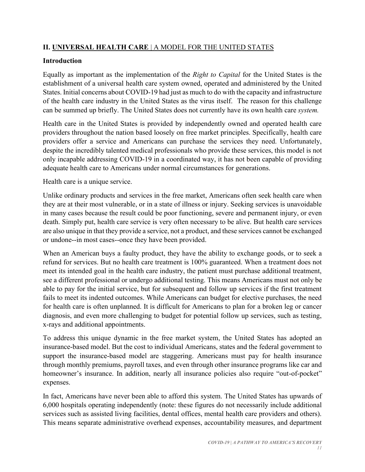# **II. UNIVERSAL HEALTH CARE** | A MODEL FOR THE UNITED STATES

# **Introduction**

Equally as important as the implementation of the *Right to Capital* for the United States is the establishment of a universal health care system owned, operated and administered by the United States. Initial concerns about COVID-19 had just as much to do with the capacity and infrastructure of the health care industry in the United States as the virus itself. The reason for this challenge can be summed up briefly. The United States does not currently have its own health care *system.*

Health care in the United States is provided by independently owned and operated health care providers throughout the nation based loosely on free market principles. Specifically, health care providers offer a service and Americans can purchase the services they need. Unfortunately, despite the incredibly talented medical professionals who provide these services, this model is not only incapable addressing COVID-19 in a coordinated way, it has not been capable of providing adequate health care to Americans under normal circumstances for generations.

Health care is a unique service.

Unlike ordinary products and services in the free market, Americans often seek health care when they are at their most vulnerable, or in a state of illness or injury. Seeking services is unavoidable in many cases because the result could be poor functioning, severe and permanent injury, or even death. Simply put, health care service is very often necessary to be alive. But health care services are also unique in that they provide a service, not a product, and these services cannot be exchanged or undone--in most cases--once they have been provided.

When an American buys a faulty product, they have the ability to exchange goods, or to seek a refund for services. But no health care treatment is 100% guaranteed. When a treatment does not meet its intended goal in the health care industry, the patient must purchase additional treatment, see a different professional or undergo additional testing. This means Americans must not only be able to pay for the initial service, but for subsequent and follow up services if the first treatment fails to meet its indented outcomes. While Americans can budget for elective purchases, the need for health care is often unplanned. It is difficult for Americans to plan for a broken leg or cancer diagnosis, and even more challenging to budget for potential follow up services, such as testing, x-rays and additional appointments.

To address this unique dynamic in the free market system, the United States has adopted an insurance-based model. But the cost to individual Americans, states and the federal government to support the insurance-based model are staggering. Americans must pay for health insurance through monthly premiums, payroll taxes, and even through other insurance programs like car and homeowner's insurance. In addition, nearly all insurance policies also require "out-of-pocket" expenses.

In fact, Americans have never been able to afford this system. The United States has upwards of 6,000 hospitals operating independently (note: these figures do not necessarily include additional services such as assisted living facilities, dental offices, mental health care providers and others). This means separate administrative overhead expenses, accountability measures, and department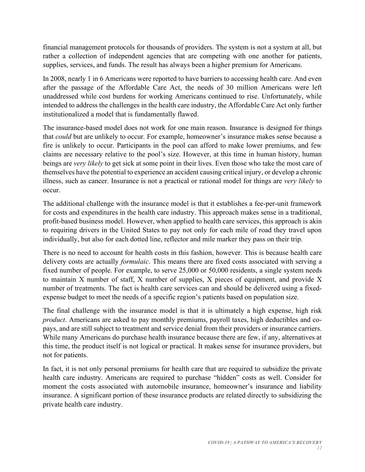financial management protocols for thousands of providers. The system is not a system at all, but rather a collection of independent agencies that are competing with one another for patients, supplies, services, and funds. The result has always been a higher premium for Americans.

In 2008, nearly 1 in 6 Americans were reported to have barriers to accessing health care. And even after the passage of the Affordable Care Act, the needs of 30 million Americans were left unaddressed while cost burdens for working Americans continued to rise. Unfortunately, while intended to address the challenges in the health care industry, the Affordable Care Act only further institutionalized a model that is fundamentally flawed.

The insurance-based model does not work for one main reason. Insurance is designed for things that *could* but are unlikely to occur*.* For example, homeowner's insurance makes sense because a fire is unlikely to occur. Participants in the pool can afford to make lower premiums, and few claims are necessary relative to the pool's size. However, at this time in human history, human beings are *very likely* to get sick at some point in their lives. Even those who take the most care of themselves have the potential to experience an accident causing critical injury, or develop a chronic illness, such as cancer. Insurance is not a practical or rational model for things are *very likely* to occur.

The additional challenge with the insurance model is that it establishes a fee-per-unit framework for costs and expenditures in the health care industry. This approach makes sense in a traditional, profit-based business model. However, when applied to health care services, this approach is akin to requiring drivers in the United States to pay not only for each mile of road they travel upon individually, but also for each dotted line, reflector and mile marker they pass on their trip.

There is no need to account for health costs in this fashion, however. This is because health care delivery costs are actually *formulaic*. This means there are fixed costs associated with serving a fixed number of people. For example, to serve 25,000 or 50,000 residents, a single system needs to maintain X number of staff, X number of supplies, X pieces of equipment, and provide X number of treatments. The fact is health care services can and should be delivered using a fixedexpense budget to meet the needs of a specific region's patients based on population size.

The final challenge with the insurance model is that it is ultimately a high expense, high risk *product*. Americans are asked to pay monthly premiums, payroll taxes, high deductibles and copays, and are still subject to treatment and service denial from their providers or insurance carriers. While many Americans do purchase health insurance because there are few, if any, alternatives at this time, the product itself is not logical or practical. It makes sense for insurance providers, but not for patients.

In fact, it is not only personal premiums for health care that are required to subsidize the private health care industry. Americans are required to purchase "hidden" costs as well. Consider for moment the costs associated with automobile insurance, homeowner's insurance and liability insurance. A significant portion of these insurance products are related directly to subsidizing the private health care industry.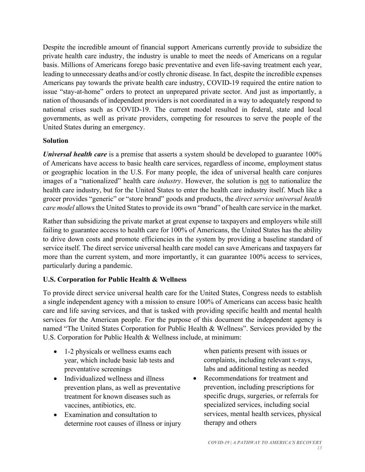Despite the incredible amount of financial support Americans currently provide to subsidize the private health care industry, the industry is unable to meet the needs of Americans on a regular basis. Millions of Americans forego basic preventative and even life-saving treatment each year, leading to unnecessary deaths and/or costly chronic disease. In fact, despite the incredible expenses Americans pay towards the private health care industry, COVID-19 required the entire nation to issue "stay-at-home" orders to protect an unprepared private sector. And just as importantly, a nation of thousands of independent providers is not coordinated in a way to adequately respond to national crises such as COVID-19. The current model resulted in federal, state and local governments, as well as private providers, competing for resources to serve the people of the United States during an emergency.

## **Solution**

*Universal health care* is a premise that asserts a system should be developed to guarantee 100% of Americans have access to basic health care services, regardless of income, employment status or geographic location in the U.S. For many people, the idea of universal health care conjures images of a "nationalized" health care *industry*. However, the solution is not to nationalize the health care industry, but for the United States to enter the health care industry itself. Much like a grocer provides "generic" or "store brand" goods and products, the *direct service universal health care model* allows the United States to provide its own "brand" of health care service in the market.

Rather than subsidizing the private market at great expense to taxpayers and employers while still failing to guarantee access to health care for 100% of Americans, the United States has the ability to drive down costs and promote efficiencies in the system by providing a baseline standard of service itself. The direct service universal health care model can save Americans and taxpayers far more than the current system, and more importantly, it can guarantee 100% access to services, particularly during a pandemic.

# **U.S. Corporation for Public Health & Wellness**

To provide direct service universal health care for the United States, Congress needs to establish a single independent agency with a mission to ensure 100% of Americans can access basic health care and life saving services, and that is tasked with providing specific health and mental health services for the American people. For the purpose of this document the independent agency is named "The United States Corporation for Public Health & Wellness". Services provided by the U.S. Corporation for Public Health & Wellness include, at minimum:

- 1-2 physicals or wellness exams each year, which include basic lab tests and preventative screenings
- Individualized wellness and illness prevention plans, as well as preventative treatment for known diseases such as vaccines, antibiotics, etc.
- Examination and consultation to determine root causes of illness or injury

when patients present with issues or complaints, including relevant x-rays, labs and additional testing as needed

• Recommendations for treatment and prevention, including prescriptions for specific drugs, surgeries, or referrals for specialized services, including social services, mental health services, physical therapy and others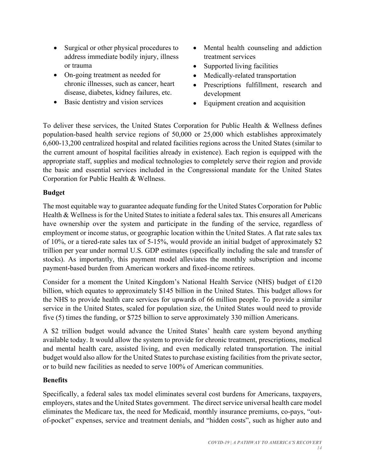- Surgical or other physical procedures to address immediate bodily injury, illness or trauma
- On-going treatment as needed for chronic illnesses, such as cancer, heart disease, diabetes, kidney failures, etc.
- Basic dentistry and vision services
- Mental health counseling and addiction treatment services
- Supported living facilities
- Medically-related transportation
- Prescriptions fulfillment, research and development
- Equipment creation and acquisition

To deliver these services, the United States Corporation for Public Health & Wellness defines population-based health service regions of 50,000 or 25,000 which establishes approximately 6,600-13,200 centralized hospital and related facilities regions across the United States (similar to the current amount of hospital facilities already in existence). Each region is equipped with the appropriate staff, supplies and medical technologies to completely serve their region and provide the basic and essential services included in the Congressional mandate for the United States Corporation for Public Health & Wellness.

## **Budget**

The most equitable way to guarantee adequate funding for the United States Corporation for Public Health & Wellness is for the United States to initiate a federal sales tax. This ensures all Americans have ownership over the system and participate in the funding of the service, regardless of employment or income status, or geographic location within the United States. A flat rate sales tax of 10%, or a tiered-rate sales tax of 5-15%, would provide an initial budget of approximately \$2 trillion per year under normal U.S. GDP estimates (specifically including the sale and transfer of stocks). As importantly, this payment model alleviates the monthly subscription and income payment-based burden from American workers and fixed-income retirees.

Consider for a moment the United Kingdom's National Health Service (NHS) budget of £120 billion, which equates to approximately \$145 billion in the United States. This budget allows for the NHS to provide health care services for upwards of 66 million people. To provide a similar service in the United States, scaled for population size, the United States would need to provide five (5) times the funding, or \$725 billion to serve approximately 330 million Americans.

A \$2 trillion budget would advance the United States' health care system beyond anything available today. It would allow the system to provide for chronic treatment, prescriptions, medical and mental health care, assisted living, and even medically related transportation. The initial budget would also allow for the United States to purchase existing facilities from the private sector, or to build new facilities as needed to serve 100% of American communities.

# **Benefits**

Specifically, a federal sales tax model eliminates several cost burdens for Americans, taxpayers, employers, states and the United States government. The direct service universal health care model eliminates the Medicare tax, the need for Medicaid, monthly insurance premiums, co-pays, "outof-pocket" expenses, service and treatment denials, and "hidden costs", such as higher auto and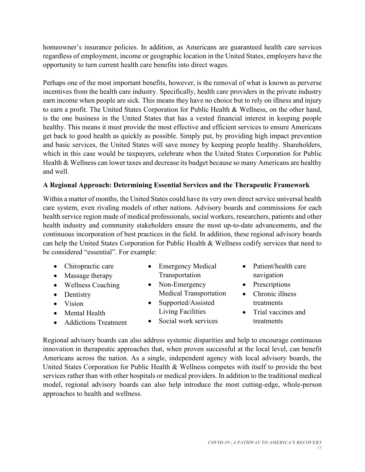homeowner's insurance policies. In addition, as Americans are guaranteed health care services regardless of employment, income or geographic location in the United States, employers have the opportunity to turn current health care benefits into direct wages.

Perhaps one of the most important benefits, however, is the removal of what is known as perverse incentives from the health care industry. Specifically, health care providers in the private industry earn income when people are sick. This means they have no choice but to rely on illness and injury to earn a profit. The United States Corporation for Public Health & Wellness, on the other hand, is the one business in the United States that has a vested financial interest in keeping people healthy. This means it must provide the most effective and efficient services to ensure Americans get back to good health as quickly as possible. Simply put, by providing high impact prevention and basic services, the United States will save money by keeping people healthy. Shareholders, which in this case would be taxpayers, celebrate when the United States Corporation for Public Health & Wellness can lower taxes and decrease its budget because so many Americans are healthy and well.

## **A Regional Approach: Determining Essential Services and the Therapeutic Framework**

Within a matter of months, the United States could have its very own direct service universal health care system, even rivaling models of other nations. Advisory boards and commissions for each health service region made of medical professionals, social workers, researchers, patients and other health industry and community stakeholders ensure the most up-to-date advancements, and the continuous incorporation of best practices in the field. In addition, these regional advisory boards can help the United States Corporation for Public Health & Wellness codify services that need to be considered "essential". For example:

- Chiropractic care
- Massage therapy
- Wellness Coaching
- Dentistry
- Vision
- Mental Health
- Addictions Treatment
- Emergency Medical Transportation
- Non-Emergency Medical Transportation
- Supported/Assisted Living Facilities
- Social work services
- Patient/health care navigation
- **Prescriptions**
- Chronic illness treatments
- Trial vaccines and treatments

Regional advisory boards can also address systemic disparities and help to encourage continuous innovation in therapeutic approaches that, when proven successful at the local level, can benefit Americans across the nation. As a single, independent agency with local advisory boards, the United States Corporation for Public Health & Wellness competes with itself to provide the best services rather than with other hospitals or medical providers. In addition to the traditional medical model, regional advisory boards can also help introduce the most cutting-edge, whole-person approaches to health and wellness.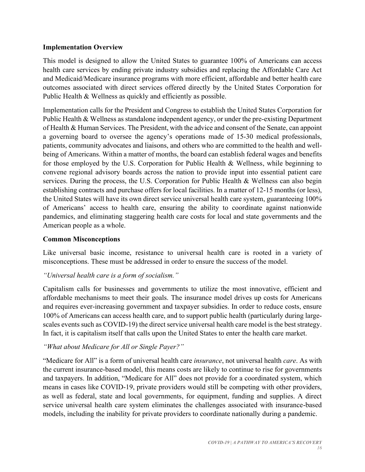#### **Implementation Overview**

This model is designed to allow the United States to guarantee 100% of Americans can access health care services by ending private industry subsidies and replacing the Affordable Care Act and Medicaid/Medicare insurance programs with more efficient, affordable and better health care outcomes associated with direct services offered directly by the United States Corporation for Public Health & Wellness as quickly and efficiently as possible.

Implementation calls for the President and Congress to establish the United States Corporation for Public Health & Wellness as standalone independent agency, or under the pre-existing Department of Health & Human Services. The President, with the advice and consent of the Senate, can appoint a governing board to oversee the agency's operations made of 15-30 medical professionals, patients, community advocates and liaisons, and others who are committed to the health and wellbeing of Americans. Within a matter of months, the board can establish federal wages and benefits for those employed by the U.S. Corporation for Public Health & Wellness, while beginning to convene regional advisory boards across the nation to provide input into essential patient care services. During the process, the U.S. Corporation for Public Health & Wellness can also begin establishing contracts and purchase offers for local facilities. In a matter of 12-15 months (or less), the United States will have its own direct service universal health care system, guaranteeing 100% of Americans' access to health care, ensuring the ability to coordinate against nationwide pandemics, and eliminating staggering health care costs for local and state governments and the American people as a whole.

## **Common Misconceptions**

Like universal basic income, resistance to universal health care is rooted in a variety of misconceptions. These must be addressed in order to ensure the success of the model.

## *"Universal health care is a form of socialism."*

Capitalism calls for businesses and governments to utilize the most innovative, efficient and affordable mechanisms to meet their goals. The insurance model drives up costs for Americans and requires ever-increasing government and taxpayer subsidies. In order to reduce costs, ensure 100% of Americans can access health care, and to support public health (particularly during largescales events such as COVID-19) the direct service universal health care model is the best strategy. In fact, it is capitalism itself that calls upon the United States to enter the health care market.

## *"What about Medicare for All or Single Payer?"*

"Medicare for All" is a form of universal health care *insurance*, not universal health *care*. As with the current insurance-based model, this means costs are likely to continue to rise for governments and taxpayers. In addition, "Medicare for All" does not provide for a coordinated system, which means in cases like COVID-19, private providers would still be competing with other providers, as well as federal, state and local governments, for equipment, funding and supplies. A direct service universal health care system eliminates the challenges associated with insurance-based models, including the inability for private providers to coordinate nationally during a pandemic.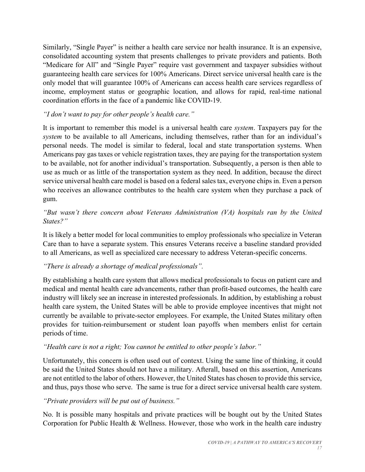Similarly, "Single Payer" is neither a health care service nor health insurance. It is an expensive, consolidated accounting system that presents challenges to private providers and patients. Both "Medicare for All" and "Single Payer" require vast government and taxpayer subsidies without guaranteeing health care services for 100% Americans. Direct service universal health care is the only model that will guarantee 100% of Americans can access health care services regardless of income, employment status or geographic location, and allows for rapid, real-time national coordination efforts in the face of a pandemic like COVID-19.

## *"I don't want to pay for other people's health care."*

It is important to remember this model is a universal health care *system*. Taxpayers pay for the *system* to be available to all Americans, including themselves, rather than for an individual's personal needs. The model is similar to federal, local and state transportation systems. When Americans pay gas taxes or vehicle registration taxes, they are paying for the transportation system to be available, not for another individual's transportation. Subsequently, a person is then able to use as much or as little of the transportation system as they need. In addition, because the direct service universal health care model is based on a federal sales tax, everyone chips in. Even a person who receives an allowance contributes to the health care system when they purchase a pack of gum.

## *"But wasn't there concern about Veterans Administration (VA) hospitals ran by the United States?"*

It is likely a better model for local communities to employ professionals who specialize in Veteran Care than to have a separate system. This ensures Veterans receive a baseline standard provided to all Americans, as well as specialized care necessary to address Veteran-specific concerns.

# *"There is already a shortage of medical professionals".*

By establishing a health care system that allows medical professionals to focus on patient care and medical and mental health care advancements, rather than profit-based outcomes, the health care industry will likely see an increase in interested professionals. In addition, by establishing a robust health care system, the United States will be able to provide employee incentives that might not currently be available to private-sector employees. For example, the United States military often provides for tuition-reimbursement or student loan payoffs when members enlist for certain periods of time.

## *"Health care is not a right; You cannot be entitled to other people's labor."*

Unfortunately, this concern is often used out of context. Using the same line of thinking, it could be said the United States should not have a military. Afterall, based on this assertion, Americans are not entitled to the labor of others. However, the United States has chosen to provide this service, and thus, pays those who serve. The same is true for a direct service universal health care system.

## *"Private providers will be put out of business."*

No. It is possible many hospitals and private practices will be bought out by the United States Corporation for Public Health & Wellness. However, those who work in the health care industry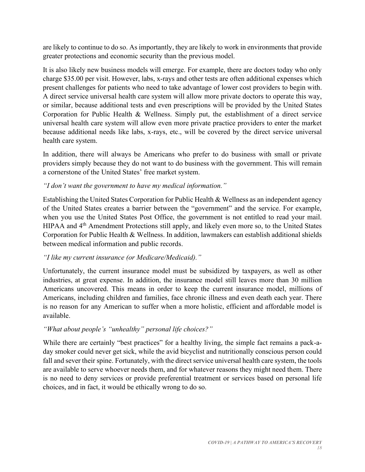are likely to continue to do so. As importantly, they are likely to work in environments that provide greater protections and economic security than the previous model.

It is also likely new business models will emerge. For example, there are doctors today who only charge \$35.00 per visit. However, labs, x-rays and other tests are often additional expenses which present challenges for patients who need to take advantage of lower cost providers to begin with. A direct service universal health care system will allow more private doctors to operate this way, or similar, because additional tests and even prescriptions will be provided by the United States Corporation for Public Health & Wellness. Simply put, the establishment of a direct service universal health care system will allow even more private practice providers to enter the market because additional needs like labs, x-rays, etc., will be covered by the direct service universal health care system.

In addition, there will always be Americans who prefer to do business with small or private providers simply because they do not want to do business with the government. This will remain a cornerstone of the United States' free market system.

## *"I don't want the government to have my medical information."*

Establishing the United States Corporation for Public Health & Wellness as an independent agency of the United States creates a barrier between the "government" and the service. For example, when you use the United States Post Office, the government is not entitled to read your mail. HIPAA and 4<sup>th</sup> Amendment Protections still apply, and likely even more so, to the United States Corporation for Public Health & Wellness. In addition, lawmakers can establish additional shields between medical information and public records.

# *"I like my current insurance (or Medicare/Medicaid)."*

Unfortunately, the current insurance model must be subsidized by taxpayers, as well as other industries, at great expense. In addition, the insurance model still leaves more than 30 million Americans uncovered. This means in order to keep the current insurance model, millions of Americans, including children and families, face chronic illness and even death each year. There is no reason for any American to suffer when a more holistic, efficient and affordable model is available.

# *"What about people's "unhealthy" personal life choices?"*

While there are certainly "best practices" for a healthy living, the simple fact remains a pack-aday smoker could never get sick, while the avid bicyclist and nutritionally conscious person could fall and sever their spine. Fortunately, with the direct service universal health care system, the tools are available to serve whoever needs them, and for whatever reasons they might need them. There is no need to deny services or provide preferential treatment or services based on personal life choices, and in fact, it would be ethically wrong to do so.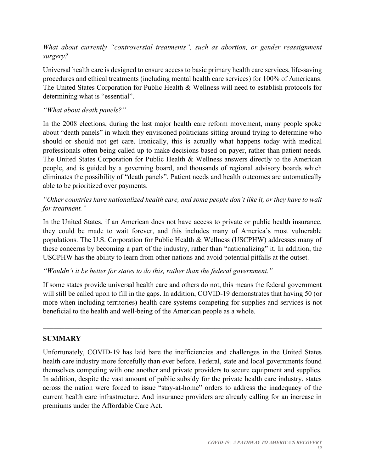*What about currently "controversial treatments", such as abortion, or gender reassignment surgery?* 

Universal health care is designed to ensure access to basic primary health care services, life-saving procedures and ethical treatments (including mental health care services) for 100% of Americans. The United States Corporation for Public Health & Wellness will need to establish protocols for determining what is "essential".

## *"What about death panels?"*

In the 2008 elections, during the last major health care reform movement, many people spoke about "death panels" in which they envisioned politicians sitting around trying to determine who should or should not get care. Ironically, this is actually what happens today with medical professionals often being called up to make decisions based on payer, rather than patient needs. The United States Corporation for Public Health & Wellness answers directly to the American people, and is guided by a governing board, and thousands of regional advisory boards which eliminates the possibility of "death panels". Patient needs and health outcomes are automatically able to be prioritized over payments.

## *"Other countries have nationalized health care, and some people don't like it, or they have to wait for treatment."*

In the United States, if an American does not have access to private or public health insurance, they could be made to wait forever, and this includes many of America's most vulnerable populations. The U.S. Corporation for Public Health & Wellness (USCPHW) addresses many of these concerns by becoming a part of the industry, rather than "nationalizing" it. In addition, the USCPHW has the ability to learn from other nations and avoid potential pitfalls at the outset.

## *"Wouldn't it be better for states to do this, rather than the federal government."*

If some states provide universal health care and others do not, this means the federal government will still be called upon to fill in the gaps. In addition, COVID-19 demonstrates that having 50 (or more when including territories) health care systems competing for supplies and services is not beneficial to the health and well-being of the American people as a whole.

 $\mathcal{L}_\mathcal{L} = \mathcal{L}_\mathcal{L} = \mathcal{L}_\mathcal{L} = \mathcal{L}_\mathcal{L} = \mathcal{L}_\mathcal{L} = \mathcal{L}_\mathcal{L} = \mathcal{L}_\mathcal{L} = \mathcal{L}_\mathcal{L} = \mathcal{L}_\mathcal{L} = \mathcal{L}_\mathcal{L} = \mathcal{L}_\mathcal{L} = \mathcal{L}_\mathcal{L} = \mathcal{L}_\mathcal{L} = \mathcal{L}_\mathcal{L} = \mathcal{L}_\mathcal{L} = \mathcal{L}_\mathcal{L} = \mathcal{L}_\mathcal{L}$ 

## **SUMMARY**

Unfortunately, COVID-19 has laid bare the inefficiencies and challenges in the United States health care industry more forcefully than ever before. Federal, state and local governments found themselves competing with one another and private providers to secure equipment and supplies. In addition, despite the vast amount of public subsidy for the private health care industry, states across the nation were forced to issue "stay-at-home" orders to address the inadequacy of the current health care infrastructure. And insurance providers are already calling for an increase in premiums under the Affordable Care Act.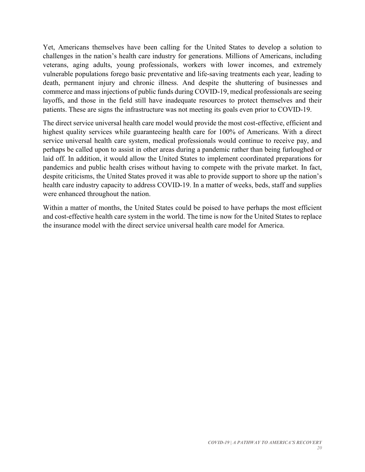Yet, Americans themselves have been calling for the United States to develop a solution to challenges in the nation's health care industry for generations. Millions of Americans, including veterans, aging adults, young professionals, workers with lower incomes, and extremely vulnerable populations forego basic preventative and life-saving treatments each year, leading to death, permanent injury and chronic illness. And despite the shuttering of businesses and commerce and mass injections of public funds during COVID-19, medical professionals are seeing layoffs, and those in the field still have inadequate resources to protect themselves and their patients. These are signs the infrastructure was not meeting its goals even prior to COVID-19.

The direct service universal health care model would provide the most cost-effective, efficient and highest quality services while guaranteeing health care for 100% of Americans. With a direct service universal health care system, medical professionals would continue to receive pay, and perhaps be called upon to assist in other areas during a pandemic rather than being furloughed or laid off. In addition, it would allow the United States to implement coordinated preparations for pandemics and public health crises without having to compete with the private market. In fact, despite criticisms, the United States proved it was able to provide support to shore up the nation's health care industry capacity to address COVID-19. In a matter of weeks, beds, staff and supplies were enhanced throughout the nation.

Within a matter of months, the United States could be poised to have perhaps the most efficient and cost-effective health care system in the world. The time is now for the United States to replace the insurance model with the direct service universal health care model for America.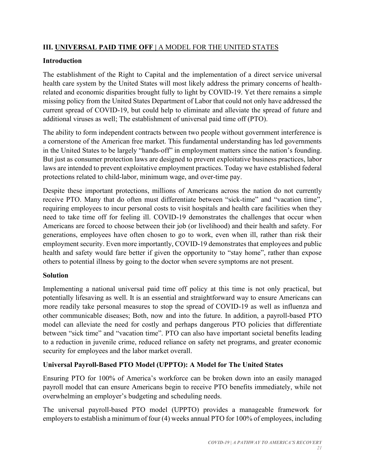# **III. UNIVERSAL PAID TIME OFF |** A MODEL FOR THE UNITED STATES

# **Introduction**

The establishment of the Right to Capital and the implementation of a direct service universal health care system by the United States will most likely address the primary concerns of healthrelated and economic disparities brought fully to light by COVID-19. Yet there remains a simple missing policy from the United States Department of Labor that could not only have addressed the current spread of COVID-19, but could help to eliminate and alleviate the spread of future and additional viruses as well; The establishment of universal paid time off (PTO).

The ability to form independent contracts between two people without government interference is a cornerstone of the American free market. This fundamental understanding has led governments in the United States to be largely "hands-off" in employment matters since the nation's founding. But just as consumer protection laws are designed to prevent exploitative business practices, labor laws are intended to prevent exploitative employment practices. Today we have established federal protections related to child-labor, minimum wage, and over-time pay.

Despite these important protections, millions of Americans across the nation do not currently receive PTO. Many that do often must differentiate between "sick-time" and "vacation time", requiring employees to incur personal costs to visit hospitals and health care facilities when they need to take time off for feeling ill. COVID-19 demonstrates the challenges that occur when Americans are forced to choose between their job (or livelihood) and their health and safety. For generations, employees have often chosen to go to work, even when ill, rather than risk their employment security. Even more importantly, COVID-19 demonstrates that employees and public health and safety would fare better if given the opportunity to "stay home", rather than expose others to potential illness by going to the doctor when severe symptoms are not present.

# **Solution**

Implementing a national universal paid time off policy at this time is not only practical, but potentially lifesaving as well. It is an essential and straightforward way to ensure Americans can more readily take personal measures to stop the spread of COVID-19 as well as influenza and other communicable diseases; Both, now and into the future. In addition, a payroll-based PTO model can alleviate the need for costly and perhaps dangerous PTO policies that differentiate between "sick time" and "vacation time". PTO can also have important societal benefits leading to a reduction in juvenile crime, reduced reliance on safety net programs, and greater economic security for employees and the labor market overall.

# **Universal Payroll-Based PTO Model (UPPTO): A Model for The United States**

Ensuring PTO for 100% of America's workforce can be broken down into an easily managed payroll model that can ensure Americans begin to receive PTO benefits immediately, while not overwhelming an employer's budgeting and scheduling needs.

The universal payroll-based PTO model (UPPTO) provides a manageable framework for employers to establish a minimum of four (4) weeks annual PTO for 100% of employees, including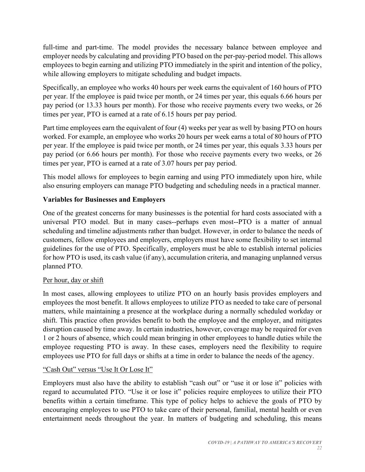full-time and part-time. The model provides the necessary balance between employee and employer needs by calculating and providing PTO based on the per-pay-period model. This allows employees to begin earning and utilizing PTO immediately in the spirit and intention of the policy, while allowing employers to mitigate scheduling and budget impacts.

Specifically, an employee who works 40 hours per week earns the equivalent of 160 hours of PTO per year. If the employee is paid twice per month, or 24 times per year, this equals 6.66 hours per pay period (or 13.33 hours per month). For those who receive payments every two weeks, or 26 times per year, PTO is earned at a rate of 6.15 hours per pay period.

Part time employees earn the equivalent of four (4) weeks per year as well by basing PTO on hours worked. For example, an employee who works 20 hours per week earns a total of 80 hours of PTO per year. If the employee is paid twice per month, or 24 times per year, this equals 3.33 hours per pay period (or 6.66 hours per month). For those who receive payments every two weeks, or 26 times per year, PTO is earned at a rate of 3.07 hours per pay period.

This model allows for employees to begin earning and using PTO immediately upon hire, while also ensuring employers can manage PTO budgeting and scheduling needs in a practical manner.

# **Variables for Businesses and Employers**

One of the greatest concerns for many businesses is the potential for hard costs associated with a universal PTO model. But in many cases--perhaps even most--PTO is a matter of annual scheduling and timeline adjustments rather than budget. However, in order to balance the needs of customers, fellow employees and employers, employers must have some flexibility to set internal guidelines for the use of PTO. Specifically, employers must be able to establish internal policies for how PTO is used, its cash value (if any), accumulation criteria, and managing unplanned versus planned PTO.

# Per hour, day or shift

In most cases, allowing employees to utilize PTO on an hourly basis provides employers and employees the most benefit. It allows employees to utilize PTO as needed to take care of personal matters, while maintaining a presence at the workplace during a normally scheduled workday or shift. This practice often provides benefit to both the employee and the employer, and mitigates disruption caused by time away. In certain industries, however, coverage may be required for even 1 or 2 hours of absence, which could mean bringing in other employees to handle duties while the employee requesting PTO is away. In these cases, employers need the flexibility to require employees use PTO for full days or shifts at a time in order to balance the needs of the agency.

## "Cash Out" versus "Use It Or Lose It"

Employers must also have the ability to establish "cash out" or "use it or lose it" policies with regard to accumulated PTO. "Use it or lose it" policies require employees to utilize their PTO benefits within a certain timeframe. This type of policy helps to achieve the goals of PTO by encouraging employees to use PTO to take care of their personal, familial, mental health or even entertainment needs throughout the year. In matters of budgeting and scheduling, this means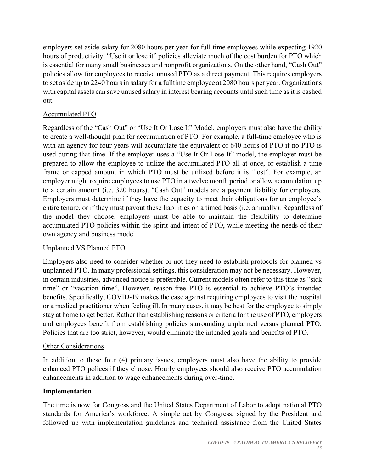employers set aside salary for 2080 hours per year for full time employees while expecting 1920 hours of productivity. "Use it or lose it" policies alleviate much of the cost burden for PTO which is essential for many small businesses and nonprofit organizations. On the other hand, "Cash Out" policies allow for employees to receive unused PTO as a direct payment. This requires employers to set aside up to 2240 hours in salary for a fulltime employee at 2080 hours per year. Organizations with capital assets can save unused salary in interest bearing accounts until such time as it is cashed out.

## Accumulated PTO

Regardless of the "Cash Out" or "Use It Or Lose It" Model, employers must also have the ability to create a well-thought plan for accumulation of PTO. For example, a full-time employee who is with an agency for four years will accumulate the equivalent of 640 hours of PTO if no PTO is used during that time. If the employer uses a "Use It Or Lose It" model, the employer must be prepared to allow the employee to utilize the accumulated PTO all at once, or establish a time frame or capped amount in which PTO must be utilized before it is "lost". For example, an employer might require employees to use PTO in a twelve month period or allow accumulation up to a certain amount (i.e. 320 hours). "Cash Out" models are a payment liability for employers. Employers must determine if they have the capacity to meet their obligations for an employee's entire tenure, or if they must payout these liabilities on a timed basis (i.e. annually). Regardless of the model they choose, employers must be able to maintain the flexibility to determine accumulated PTO policies within the spirit and intent of PTO, while meeting the needs of their own agency and business model.

## Unplanned VS Planned PTO

Employers also need to consider whether or not they need to establish protocols for planned vs unplanned PTO. In many professional settings, this consideration may not be necessary. However, in certain industries, advanced notice is preferable. Current models often refer to this time as "sick time" or "vacation time". However, reason-free PTO is essential to achieve PTO's intended benefits. Specifically, COVID-19 makes the case against requiring employees to visit the hospital or a medical practitioner when feeling ill. In many cases, it may be best for the employee to simply stay at home to get better. Rather than establishing reasons or criteria for the use of PTO, employers and employees benefit from establishing policies surrounding unplanned versus planned PTO. Policies that are too strict, however, would eliminate the intended goals and benefits of PTO.

## Other Considerations

In addition to these four (4) primary issues, employers must also have the ability to provide enhanced PTO polices if they choose. Hourly employees should also receive PTO accumulation enhancements in addition to wage enhancements during over-time.

## **Implementation**

The time is now for Congress and the United States Department of Labor to adopt national PTO standards for America's workforce. A simple act by Congress, signed by the President and followed up with implementation guidelines and technical assistance from the United States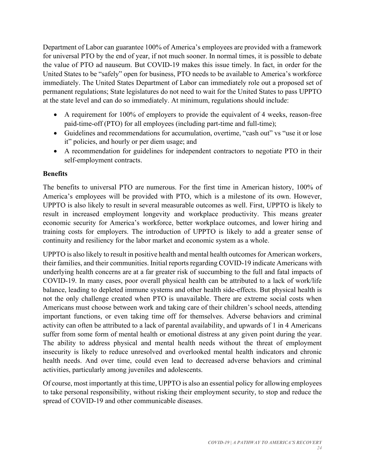Department of Labor can guarantee 100% of America's employees are provided with a framework for universal PTO by the end of year, if not much sooner. In normal times, it is possible to debate the value of PTO ad nauseum. But COVID-19 makes this issue timely. In fact, in order for the United States to be "safely" open for business, PTO needs to be available to America's workforce immediately. The United States Department of Labor can immediately role out a proposed set of permanent regulations; State legislatures do not need to wait for the United States to pass UPPTO at the state level and can do so immediately. At minimum, regulations should include:

- A requirement for 100% of employers to provide the equivalent of 4 weeks, reason-free paid-time-off (PTO) for all employees (including part-time and full-time);
- Guidelines and recommendations for accumulation, overtime, "cash out" vs "use it or lose it" policies, and hourly or per diem usage; and
- A recommendation for guidelines for independent contractors to negotiate PTO in their self-employment contracts.

# **Benefits**

The benefits to universal PTO are numerous. For the first time in American history, 100% of America's employees will be provided with PTO, which is a milestone of its own. However, UPPTO is also likely to result in several measurable outcomes as well. First, UPPTO is likely to result in increased employment longevity and workplace productivity. This means greater economic security for America's workforce, better workplace outcomes, and lower hiring and training costs for employers. The introduction of UPPTO is likely to add a greater sense of continuity and resiliency for the labor market and economic system as a whole.

UPPTO is also likely to result in positive health and mental health outcomes for American workers, their families, and their communities. Initial reports regarding COVID-19 indicate Americans with underlying health concerns are at a far greater risk of succumbing to the full and fatal impacts of COVID-19. In many cases, poor overall physical health can be attributed to a lack of work/life balance, leading to depleted immune systems and other health side-effects. But physical health is not the only challenge created when PTO is unavailable. There are extreme social costs when Americans must choose between work and taking care of their children's school needs, attending important functions, or even taking time off for themselves. Adverse behaviors and criminal activity can often be attributed to a lack of parental availability, and upwards of 1 in 4 Americans suffer from some form of mental health or emotional distress at any given point during the year. The ability to address physical and mental health needs without the threat of employment insecurity is likely to reduce unresolved and overlooked mental health indicators and chronic health needs. And over time, could even lead to decreased adverse behaviors and criminal activities, particularly among juveniles and adolescents.

Of course, most importantly at this time, UPPTO is also an essential policy for allowing employees to take personal responsibility, without risking their employment security, to stop and reduce the spread of COVID-19 and other communicable diseases.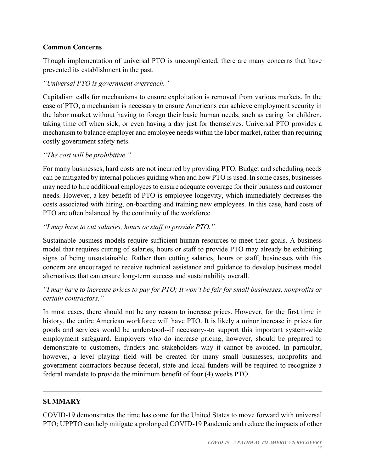## **Common Concerns**

Though implementation of universal PTO is uncomplicated, there are many concerns that have prevented its establishment in the past.

## *"Universal PTO is government overreach."*

Capitalism calls for mechanisms to ensure exploitation is removed from various markets. In the case of PTO, a mechanism is necessary to ensure Americans can achieve employment security in the labor market without having to forego their basic human needs, such as caring for children, taking time off when sick, or even having a day just for themselves. Universal PTO provides a mechanism to balance employer and employee needs within the labor market, rather than requiring costly government safety nets.

## *"The cost will be prohibitive."*

For many businesses, hard costs are not incurred by providing PTO. Budget and scheduling needs can be mitigated by internal policies guiding when and how PTO is used. In some cases, businesses may need to hire additional employees to ensure adequate coverage for their business and customer needs. However, a key benefit of PTO is employee longevity, which immediately decreases the costs associated with hiring, on-boarding and training new employees. In this case, hard costs of PTO are often balanced by the continuity of the workforce.

## *"I may have to cut salaries, hours or staff to provide PTO."*

Sustainable business models require sufficient human resources to meet their goals. A business model that requires cutting of salaries, hours or staff to provide PTO may already be exhibiting signs of being unsustainable. Rather than cutting salaries, hours or staff, businesses with this concern are encouraged to receive technical assistance and guidance to develop business model alternatives that can ensure long-term success and sustainability overall.

## *"I may have to increase prices to pay for PTO; It won't be fair for small businesses, nonprofits or certain contractors."*

In most cases, there should not be any reason to increase prices. However, for the first time in history, the entire American workforce will have PTO. It is likely a minor increase in prices for goods and services would be understood--if necessary--to support this important system-wide employment safeguard. Employers who do increase pricing, however, should be prepared to demonstrate to customers, funders and stakeholders why it cannot be avoided. In particular, however, a level playing field will be created for many small businesses, nonprofits and government contractors because federal, state and local funders will be required to recognize a federal mandate to provide the minimum benefit of four (4) weeks PTO.

## **SUMMARY**

COVID-19 demonstrates the time has come for the United States to move forward with universal PTO; UPPTO can help mitigate a prolonged COVID-19 Pandemic and reduce the impacts of other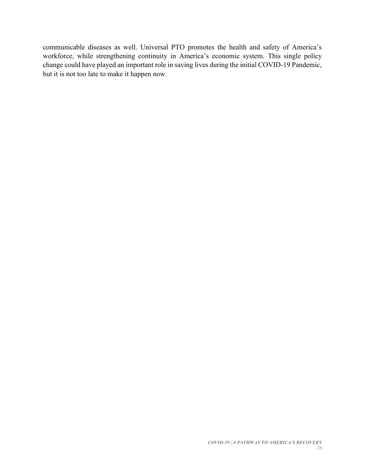communicable diseases as well. Universal PTO promotes the health and safety of America's workforce, while strengthening continuity in America's economic system. This single policy change could have played an important role in saving lives during the initial COVID-19 Pandemic, but it is not too late to make it happen now.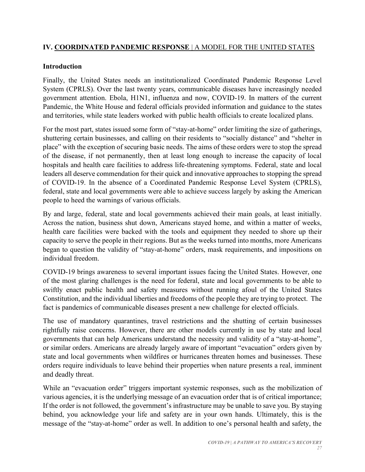## **IV. COORDINATED PANDEMIC RESPONSE** | A MODEL FOR THE UNITED STATES

#### **Introduction**

Finally, the United States needs an institutionalized Coordinated Pandemic Response Level System (CPRLS). Over the last twenty years, communicable diseases have increasingly needed government attention. Ebola, H1N1, influenza and now, COVID-19. In matters of the current Pandemic, the White House and federal officials provided information and guidance to the states and territories, while state leaders worked with public health officials to create localized plans.

For the most part, states issued some form of "stay-at-home" order limiting the size of gatherings, shuttering certain businesses, and calling on their residents to "socially distance" and "shelter in place" with the exception of securing basic needs. The aims of these orders were to stop the spread of the disease, if not permanently, then at least long enough to increase the capacity of local hospitals and health care facilities to address life-threatening symptoms. Federal, state and local leaders all deserve commendation for their quick and innovative approaches to stopping the spread of COVID-19. In the absence of a Coordinated Pandemic Response Level System (CPRLS), federal, state and local governments were able to achieve success largely by asking the American people to heed the warnings of various officials.

By and large, federal, state and local governments achieved their main goals, at least initially. Across the nation, business shut down, Americans stayed home, and within a matter of weeks, health care facilities were backed with the tools and equipment they needed to shore up their capacity to serve the people in their regions. But as the weeks turned into months, more Americans began to question the validity of "stay-at-home" orders, mask requirements, and impositions on individual freedom.

COVID-19 brings awareness to several important issues facing the United States. However, one of the most glaring challenges is the need for federal, state and local governments to be able to swiftly enact public health and safety measures without running afoul of the United States Constitution, and the individual liberties and freedoms of the people they are trying to protect. The fact is pandemics of communicable diseases present a new challenge for elected officials.

The use of mandatory quarantines, travel restrictions and the shutting of certain businesses rightfully raise concerns. However, there are other models currently in use by state and local governments that can help Americans understand the necessity and validity of a "stay-at-home", or similar orders. Americans are already largely aware of important "evacuation" orders given by state and local governments when wildfires or hurricanes threaten homes and businesses. These orders require individuals to leave behind their properties when nature presents a real, imminent and deadly threat.

While an "evacuation order" triggers important systemic responses, such as the mobilization of various agencies, it is the underlying message of an evacuation order that is of critical importance; If the order is not followed, the government's infrastructure may be unable to save you. By staying behind, you acknowledge your life and safety are in your own hands. Ultimately, this is the message of the "stay-at-home" order as well. In addition to one's personal health and safety, the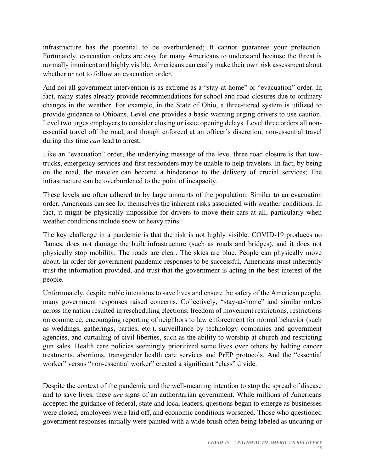infrastructure has the potential to be overburdened; It cannot guarantee your protection. Fortunately, evacuation orders are easy for many Americans to understand because the threat is normally imminent and highly visible. Americans can easily make their own risk assessment about whether or not to follow an evacuation order.

And not all government intervention is as extreme as a "stay-at-home" or "evacuation" order. In fact, many states already provide recommendations for school and road closures due to ordinary changes in the weather. For example, in the State of Ohio, a three-tiered system is utilized to provide guidance to Ohioans. Level one provides a basic warning urging drivers to use caution. Level two urges employers to consider closing or issue opening delays. Level three orders all nonessential travel off the road, and though enforced at an officer's discretion, non-essential travel during this time *can* lead to arrest.

Like an "evacuation" order, the underlying message of the level three road closure is that towtrucks, emergency services and first responders may be unable to help travelers. In fact, by being on the road, the traveler can become a hinderance to the delivery of crucial services; The infrastructure can be overburdened to the point of incapacity.

These levels are often adhered to by large amounts of the population. Similar to an evacuation order, Americans can see for themselves the inherent risks associated with weather conditions. In fact, it might be physically impossible for drivers to move their cars at all, particularly when weather conditions include snow or heavy rains.

The key challenge in a pandemic is that the risk is not highly visible. COVID-19 produces no flames, does not damage the built infrastructure (such as roads and bridges), and it does not physically stop mobility. The roads are clear. The skies are blue. People can physically move about. In order for government pandemic responses to be successful, Americans must inherently trust the information provided, and trust that the government is acting in the best interest of the people.

Unfortunately, despite noble intentions to save lives and ensure the safety of the American people, many government responses raised concerns. Collectively, "stay-at-home" and similar orders across the nation resulted in rescheduling elections, freedom of movement restrictions, restrictions on commerce, encouraging reporting of neighbors to law enforcement for normal behavior (such as weddings, gatherings, parties, etc.), surveillance by technology companies and government agencies, and curtailing of civil liberties, such as the ability to worship at church and restricting gun sales. Health care policies seemingly prioritized some lives over others by halting cancer treatments, abortions, transgender health care services and PrEP protocols. And the "essential worker" versus "non-essential worker" created a significant "class" divide.

Despite the context of the pandemic and the well-meaning intention to stop the spread of disease and to save lives, these *are* signs of an authoritarian government. While millions of Americans accepted the guidance of federal, state and local leaders, questions began to emerge as businesses were closed, employees were laid off, and economic conditions worsened. Those who questioned government responses initially were painted with a wide brush often being labeled as uncaring or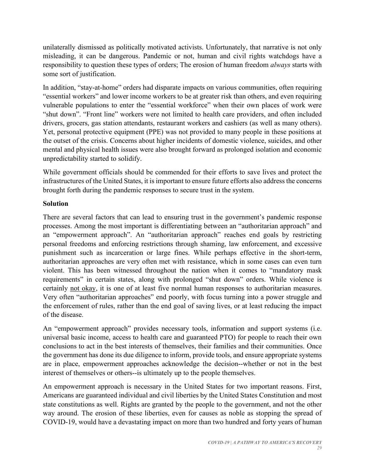unilaterally dismissed as politically motivated activists. Unfortunately, that narrative is not only misleading, it can be dangerous. Pandemic or not, human and civil rights watchdogs have a responsibility to question these types of orders; The erosion of human freedom *always* starts with some sort of justification.

In addition, "stay-at-home" orders had disparate impacts on various communities, often requiring "essential workers" and lower income workers to be at greater risk than others, and even requiring vulnerable populations to enter the "essential workforce" when their own places of work were "shut down". "Front line" workers were not limited to health care providers, and often included drivers, grocers, gas station attendants, restaurant workers and cashiers (as well as many others). Yet, personal protective equipment (PPE) was not provided to many people in these positions at the outset of the crisis. Concerns about higher incidents of domestic violence, suicides, and other mental and physical health issues were also brought forward as prolonged isolation and economic unpredictability started to solidify.

While government officials should be commended for their efforts to save lives and protect the infrastructures of the United States, it is important to ensure future efforts also address the concerns brought forth during the pandemic responses to secure trust in the system.

## **Solution**

There are several factors that can lead to ensuring trust in the government's pandemic response processes. Among the most important is differentiating between an "authoritarian approach" and an "empowerment approach". An "authoritarian approach" reaches end goals by restricting personal freedoms and enforcing restrictions through shaming, law enforcement, and excessive punishment such as incarceration or large fines. While perhaps effective in the short-term, authoritarian approaches are very often met with resistance, which in some cases can even turn violent. This has been witnessed throughout the nation when it comes to "mandatory mask requirements" in certain states, along with prolonged "shut down" orders. While violence is certainly not okay, it is one of at least five normal human responses to authoritarian measures. Very often "authoritarian approaches" end poorly, with focus turning into a power struggle and the enforcement of rules, rather than the end goal of saving lives, or at least reducing the impact of the disease.

An "empowerment approach" provides necessary tools, information and support systems (i.e. universal basic income, access to health care and guaranteed PTO) for people to reach their own conclusions to act in the best interests of themselves, their families and their communities. Once the government has done its due diligence to inform, provide tools, and ensure appropriate systems are in place, empowerment approaches acknowledge the decision--whether or not in the best interest of themselves or others--is ultimately up to the people themselves.

An empowerment approach is necessary in the United States for two important reasons. First, Americans are guaranteed individual and civil liberties by the United States Constitution and most state constitutions as well. Rights are granted by the people to the government, and not the other way around. The erosion of these liberties, even for causes as noble as stopping the spread of COVID-19, would have a devastating impact on more than two hundred and forty years of human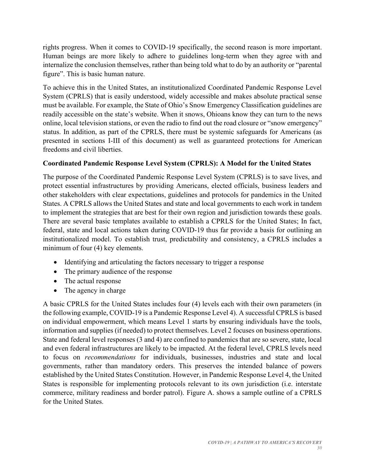rights progress. When it comes to COVID-19 specifically, the second reason is more important. Human beings are more likely to adhere to guidelines long-term when they agree with and internalize the conclusion themselves, rather than being told what to do by an authority or "parental figure". This is basic human nature.

To achieve this in the United States, an institutionalized Coordinated Pandemic Response Level System (CPRLS) that is easily understood, widely accessible and makes absolute practical sense must be available. For example, the State of Ohio's Snow Emergency Classification guidelines are readily accessible on the state's website. When it snows, Ohioans know they can turn to the news online, local television stations, or even the radio to find out the road closure or "snow emergency" status. In addition, as part of the CPRLS, there must be systemic safeguards for Americans (as presented in sections I-III of this document) as well as guaranteed protections for American freedoms and civil liberties.

## **Coordinated Pandemic Response Level System (CPRLS): A Model for the United States**

The purpose of the Coordinated Pandemic Response Level System (CPRLS) is to save lives, and protect essential infrastructures by providing Americans, elected officials, business leaders and other stakeholders with clear expectations, guidelines and protocols for pandemics in the United States. A CPRLS allows the United States and state and local governments to each work in tandem to implement the strategies that are best for their own region and jurisdiction towards these goals. There are several basic templates available to establish a CPRLS for the United States; In fact, federal, state and local actions taken during COVID-19 thus far provide a basis for outlining an institutionalized model. To establish trust, predictability and consistency, a CPRLS includes a minimum of four (4) key elements.

- Identifying and articulating the factors necessary to trigger a response
- The primary audience of the response
- The actual response
- The agency in charge

A basic CPRLS for the United States includes four (4) levels each with their own parameters (in the following example, COVID-19 is a Pandemic Response Level 4). A successful CPRLS is based on individual empowerment, which means Level 1 starts by ensuring individuals have the tools, information and supplies (if needed) to protect themselves. Level 2 focuses on business operations. State and federal level responses (3 and 4) are confined to pandemics that are so severe, state, local and even federal infrastructures are likely to be impacted. At the federal level, CPRLS levels need to focus on *recommendations* for individuals, businesses, industries and state and local governments, rather than mandatory orders. This preserves the intended balance of powers established by the United States Constitution. However, in Pandemic Response Level 4, the United States is responsible for implementing protocols relevant to its own jurisdiction (i.e. interstate commerce, military readiness and border patrol). Figure A. shows a sample outline of a CPRLS for the United States.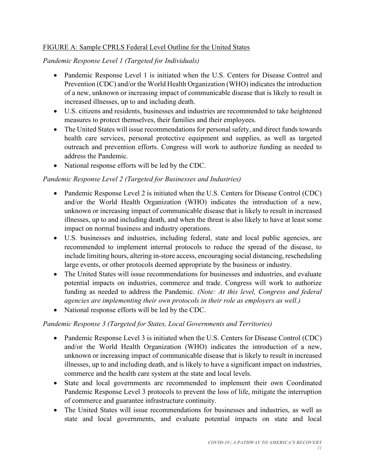## FIGURE A: Sample CPRLS Federal Level Outline for the United States

*Pandemic Response Level 1 (Targeted for Individuals)* 

- Pandemic Response Level 1 is initiated when the U.S. Centers for Disease Control and Prevention (CDC) and/or the World Health Organization (WHO) indicates the introduction of a new, unknown or increasing impact of communicable disease that is likely to result in increased illnesses, up to and including death.
- U.S. citizens and residents, businesses and industries are recommended to take heightened measures to protect themselves, their families and their employees.
- The United States will issue recommendations for personal safety, and direct funds towards health care services, personal protective equipment and supplies, as well as targeted outreach and prevention efforts. Congress will work to authorize funding as needed to address the Pandemic.
- National response efforts will be led by the CDC.

## *Pandemic Response Level 2 (Targeted for Businesses and Industries)*

- Pandemic Response Level 2 is initiated when the U.S. Centers for Disease Control (CDC) and/or the World Health Organization (WHO) indicates the introduction of a new, unknown or increasing impact of communicable disease that is likely to result in increased illnesses, up to and including death, and when the threat is also likely to have at least some impact on normal business and industry operations.
- U.S. businesses and industries, including federal, state and local public agencies, are recommended to implement internal protocols to reduce the spread of the disease, to include limiting hours, altering in-store access, encouraging social distancing, rescheduling large events, or other protocols deemed appropriate by the business or industry.
- The United States will issue recommendations for businesses and industries, and evaluate potential impacts on industries, commerce and trade. Congress will work to authorize funding as needed to address the Pandemic. *(Note: At this level, Congress and federal agencies are implementing their own protocols in their role as employers as well.)*
- National response efforts will be led by the CDC.

## *Pandemic Response 3 (Targeted for States, Local Governments and Territories)*

- Pandemic Response Level 3 is initiated when the U.S. Centers for Disease Control (CDC) and/or the World Health Organization (WHO) indicates the introduction of a new, unknown or increasing impact of communicable disease that is likely to result in increased illnesses, up to and including death, and is likely to have a significant impact on industries, commerce and the health care system at the state and local levels.
- State and local governments are recommended to implement their own Coordinated Pandemic Response Level 3 protocols to prevent the loss of life, mitigate the interruption of commerce and guarantee infrastructure continuity.
- The United States will issue recommendations for businesses and industries, as well as state and local governments, and evaluate potential impacts on state and local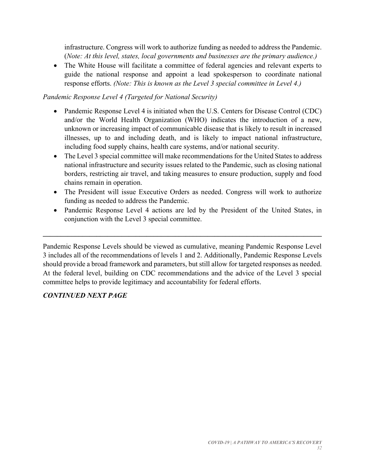infrastructure. Congress will work to authorize funding as needed to address the Pandemic. (*Note: At this level, states, local governments and businesses are the primary audience.)*

• The White House will facilitate a committee of federal agencies and relevant experts to guide the national response and appoint a lead spokesperson to coordinate national response efforts. *(Note: This is known as the Level 3 special committee in Level 4.)*

## *Pandemic Response Level 4 (Targeted for National Security)*

- Pandemic Response Level 4 is initiated when the U.S. Centers for Disease Control (CDC) and/or the World Health Organization (WHO) indicates the introduction of a new, unknown or increasing impact of communicable disease that is likely to result in increased illnesses, up to and including death, and is likely to impact national infrastructure, including food supply chains, health care systems, and/or national security.
- The Level 3 special committee will make recommendations for the United States to address national infrastructure and security issues related to the Pandemic, such as closing national borders, restricting air travel, and taking measures to ensure production, supply and food chains remain in operation.
- The President will issue Executive Orders as needed. Congress will work to authorize funding as needed to address the Pandemic.
- Pandemic Response Level 4 actions are led by the President of the United States, in conjunction with the Level 3 special committee.

Pandemic Response Levels should be viewed as cumulative, meaning Pandemic Response Level 3 includes all of the recommendations of levels 1 and 2. Additionally, Pandemic Response Levels should provide a broad framework and parameters, but still allow for targeted responses as needed. At the federal level, building on CDC recommendations and the advice of the Level 3 special committee helps to provide legitimacy and accountability for federal efforts.

 $\mathcal{L}_\mathcal{L} = \{ \mathcal{L}_\mathcal{L} = \{ \mathcal{L}_\mathcal{L} = \{ \mathcal{L}_\mathcal{L} = \{ \mathcal{L}_\mathcal{L} = \{ \mathcal{L}_\mathcal{L} = \{ \mathcal{L}_\mathcal{L} = \{ \mathcal{L}_\mathcal{L} = \{ \mathcal{L}_\mathcal{L} = \{ \mathcal{L}_\mathcal{L} = \{ \mathcal{L}_\mathcal{L} = \{ \mathcal{L}_\mathcal{L} = \{ \mathcal{L}_\mathcal{L} = \{ \mathcal{L}_\mathcal{L} = \{ \mathcal{L}_\mathcal{$ 

# *CONTINUED NEXT PAGE*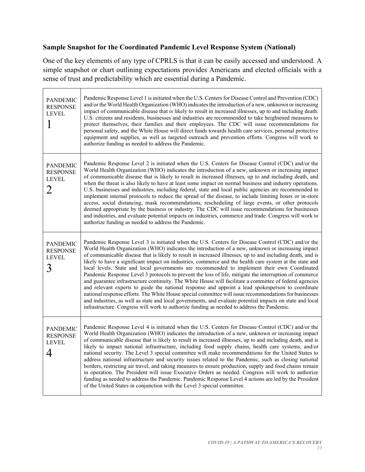# **Sample Snapshot for the Coordinated Pandemic Level Response System (National)**

Ē

One of the key elements of any type of CPRLS is that it can be easily accessed and understood. A simple snapshot or chart outlining expectations provides Americans and elected officials with a sense of trust and predictability which are essential during a Pandemic.

| <b>PANDEMIC</b><br><b>RESPONSE</b><br><b>LEVEL</b>      | Pandemic Response Level 1 is initiated when the U.S. Centers for Disease Control and Prevention (CDC)<br>and/or the World Health Organization (WHO) indicates the introduction of a new, unknown or increasing<br>impact of communicable disease that is likely to result in increased illnesses, up to and including death.<br>U.S. citizens and residents, businesses and industries are recommended to take heightened measures to<br>protect themselves, their families and their employees. The CDC will issue recommendations for<br>personal safety, and the White House will direct funds towards health care services, personal protective<br>equipment and supplies, as well as targeted outreach and prevention efforts. Congress will work to<br>authorize funding as needed to address the Pandemic.                                                                                                                                                                                                                                                                                                                                                               |
|---------------------------------------------------------|---------------------------------------------------------------------------------------------------------------------------------------------------------------------------------------------------------------------------------------------------------------------------------------------------------------------------------------------------------------------------------------------------------------------------------------------------------------------------------------------------------------------------------------------------------------------------------------------------------------------------------------------------------------------------------------------------------------------------------------------------------------------------------------------------------------------------------------------------------------------------------------------------------------------------------------------------------------------------------------------------------------------------------------------------------------------------------------------------------------------------------------------------------------------------------|
| <b>PANDEMIC</b><br><b>RESPONSE</b><br><b>LEVEL</b><br>2 | Pandemic Response Level 2 is initiated when the U.S. Centers for Disease Control (CDC) and/or the<br>World Health Organization (WHO) indicates the introduction of a new, unknown or increasing impact<br>of communicable disease that is likely to result in increased illnesses, up to and including death, and<br>when the threat is also likely to have at least some impact on normal business and industry operations.<br>U.S. businesses and industries, including federal, state and local public agencies are recommended to<br>implement internal protocols to reduce the spread of the disease, to include limiting hours or in-store<br>access, social distancing, mask recommendations, rescheduling of large events, or other protocols<br>deemed appropriate by the business or industry. The CDC will issue recommendations for businesses<br>and industries, and evaluate potential impacts on industries, commerce and trade. Congress will work to<br>authorize funding as needed to address the Pandemic.                                                                                                                                                   |
| <b>PANDEMIC</b><br><b>RESPONSE</b><br><b>LEVEL</b><br>3 | Pandemic Response Level 3 is initiated when the U.S. Centers for Disease Control (CDC) and/or the<br>World Health Organization (WHO) indicates the introduction of a new, unknown or increasing impact<br>of communicable disease that is likely to result in increased illnesses, up to and including death, and is<br>likely to have a significant impact on industries, commerce and the health care system at the state and<br>local levels. State and local governments are recommended to implement their own Coordinated<br>Pandemic Response Level 3 protocols to prevent the loss of life, mitigate the interruption of commerce<br>and guarantee infrastructure continuity. The White House will facilitate a committee of federal agencies<br>and relevant experts to guide the national response and appoint a lead spokesperson to coordinate<br>national response efforts. The White House special committee will issue recommendations for businesses<br>and industries, as well as state and local governments, and evaluate potential impacts on state and local<br>infrastructure. Congress will work to authorize funding as needed to address the Pandemic. |
| PANDEMIC<br><b>RESPONSE</b><br><b>LEVEL</b><br>4        | Pandemic Response Level 4 is initiated when the U.S. Centers for Disease Control (CDC) and/or the<br>World Health Organization (WHO) indicates the introduction of a new, unknown or increasing impact<br>of communicable disease that is likely to result in increased illnesses, up to and including death, and is<br>likely to impact national infrastructure, including food supply chains, health care systems, and/or<br>national security. The Level 3 special committee will make recommendations for the United States to<br>address national infrastructure and security issues related to the Pandemic, such as closing national<br>borders, restricting air travel, and taking measures to ensure production, supply and food chains remain<br>in operation. The President will issue Executive Orders as needed. Congress will work to authorize<br>funding as needed to address the Pandemic. Pandemic Response Level 4 actions are led by the President<br>of the United States in conjunction with the Level 3 special committee.                                                                                                                               |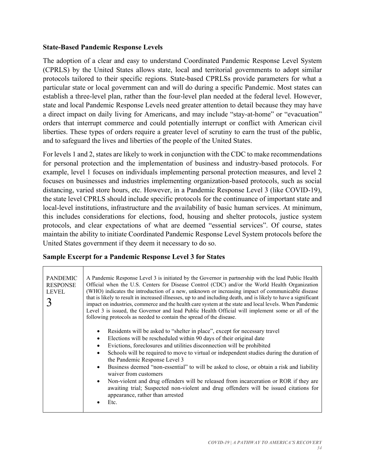#### **State-Based Pandemic Response Levels**

The adoption of a clear and easy to understand Coordinated Pandemic Response Level System (CPRLS) by the United States allows state, local and territorial governments to adopt similar protocols tailored to their specific regions. State-based CPRLSs provide parameters for what a particular state or local government can and will do during a specific Pandemic. Most states can establish a three-level plan, rather than the four-level plan needed at the federal level. However, state and local Pandemic Response Levels need greater attention to detail because they may have a direct impact on daily living for Americans, and may include "stay-at-home" or "evacuation" orders that interrupt commerce and could potentially interrupt or conflict with American civil liberties. These types of orders require a greater level of scrutiny to earn the trust of the public, and to safeguard the lives and liberties of the people of the United States.

For levels 1 and 2, states are likely to work in conjunction with the CDC to make recommendations for personal protection and the implementation of business and industry-based protocols. For example, level 1 focuses on individuals implementing personal protection measures, and level 2 focuses on businesses and industries implementing organization-based protocols, such as social distancing, varied store hours, etc. However, in a Pandemic Response Level 3 (like COVID-19), the state level CPRLS should include specific protocols for the continuance of important state and local-level institutions, infrastructure and the availability of basic human services. At minimum, this includes considerations for elections, food, housing and shelter protocols, justice system protocols, and clear expectations of what are deemed "essential services". Of course, states maintain the ability to initiate Coordinated Pandemic Response Level System protocols before the United States government if they deem it necessary to do so.

| <b>PANDEMIC</b><br><b>RESPONSE</b><br><b>LEVEL</b> | A Pandemic Response Level 3 is initiated by the Governor in partnership with the lead Public Health<br>Official when the U.S. Centers for Disease Control (CDC) and/or the World Health Organization<br>(WHO) indicates the introduction of a new, unknown or increasing impact of communicable disease<br>that is likely to result in increased illnesses, up to and including death, and is likely to have a significant<br>impact on industries, commerce and the health care system at the state and local levels. When Pandemic<br>Level 3 is issued, the Governor and lead Public Health Official will implement some or all of the<br>following protocols as needed to contain the spread of the disease. |
|----------------------------------------------------|------------------------------------------------------------------------------------------------------------------------------------------------------------------------------------------------------------------------------------------------------------------------------------------------------------------------------------------------------------------------------------------------------------------------------------------------------------------------------------------------------------------------------------------------------------------------------------------------------------------------------------------------------------------------------------------------------------------|
|                                                    | Residents will be asked to "shelter in place", except for necessary travel<br>Elections will be rescheduled within 90 days of their original date<br>Evictions, foreclosures and utilities disconnection will be prohibited<br>Schools will be required to move to virtual or independent studies during the duration of<br>the Pandemic Response Level 3<br>Business deemed "non-essential" to will be asked to close, or obtain a risk and liability<br>waiver from customers<br>Non-violent and drug offenders will be released from incarceration or ROR if they are<br>awaiting trial; Suspected non-violent and drug offenders will be issued citations for<br>appearance, rather than arrested<br>Etc.    |

#### **Sample Excerpt for a Pandemic Response Level 3 for States**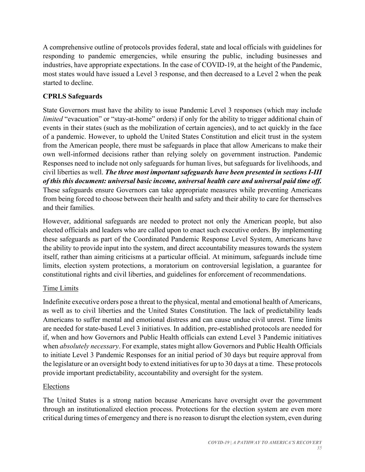A comprehensive outline of protocols provides federal, state and local officials with guidelines for responding to pandemic emergencies, while ensuring the public, including businesses and industries, have appropriate expectations. In the case of COVID-19, at the height of the Pandemic, most states would have issued a Level 3 response, and then decreased to a Level 2 when the peak started to decline.

# **CPRLS Safeguards**

State Governors must have the ability to issue Pandemic Level 3 responses (which may include *limited* "evacuation" or "stay-at-home" orders) if only for the ability to trigger additional chain of events in their states (such as the mobilization of certain agencies), and to act quickly in the face of a pandemic. However, to uphold the United States Constitution and elicit trust in the system from the American people, there must be safeguards in place that allow Americans to make their own well-informed decisions rather than relying solely on government instruction. Pandemic Responses need to include not only safeguards for human lives, but safeguards for livelihoods, and civil liberties as well. *The three most important safeguards have been presented in sections I-III of this this document: universal basic income, universal health care and universal paid time off.*  These safeguards ensure Governors can take appropriate measures while preventing Americans from being forced to choose between their health and safety and their ability to care for themselves and their families.

However, additional safeguards are needed to protect not only the American people, but also elected officials and leaders who are called upon to enact such executive orders. By implementing these safeguards as part of the Coordinated Pandemic Response Level System, Americans have the ability to provide input into the system, and direct accountability measures towards the system itself, rather than aiming criticisms at a particular official. At minimum, safeguards include time limits, election system protections, a moratorium on controversial legislation, a guarantee for constitutional rights and civil liberties, and guidelines for enforcement of recommendations.

# Time Limits

Indefinite executive orders pose a threat to the physical, mental and emotional health of Americans, as well as to civil liberties and the United States Constitution. The lack of predictability leads Americans to suffer mental and emotional distress and can cause undue civil unrest. Time limits are needed for state-based Level 3 initiatives. In addition, pre-established protocols are needed for if, when and how Governors and Public Health officials can extend Level 3 Pandemic initiatives when *absolutely necessary*. For example, states might allow Governors and Public Health Officials to initiate Level 3 Pandemic Responses for an initial period of 30 days but require approval from the legislature or an oversight body to extend initiatives for up to 30 days at a time. These protocols provide important predictability, accountability and oversight for the system.

# **Elections**

The United States is a strong nation because Americans have oversight over the government through an institutionalized election process. Protections for the election system are even more critical during times of emergency and there is no reason to disrupt the election system, even during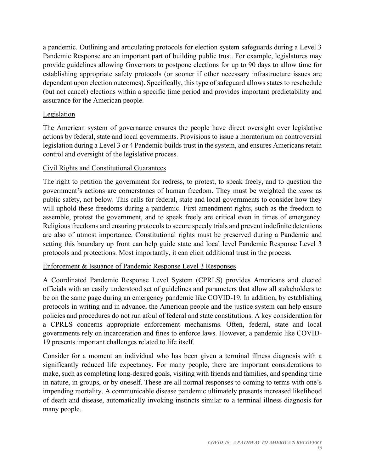a pandemic. Outlining and articulating protocols for election system safeguards during a Level 3 Pandemic Response are an important part of building public trust. For example, legislatures may provide guidelines allowing Governors to postpone elections for up to 90 days to allow time for establishing appropriate safety protocols (or sooner if other necessary infrastructure issues are dependent upon election outcomes). Specifically, this type of safeguard allows states to reschedule (but not cancel) elections within a specific time period and provides important predictability and assurance for the American people.

## Legislation

The American system of governance ensures the people have direct oversight over legislative actions by federal, state and local governments. Provisions to issue a moratorium on controversial legislation during a Level 3 or 4 Pandemic builds trust in the system, and ensures Americans retain control and oversight of the legislative process.

## Civil Rights and Constitutional Guarantees

The right to petition the government for redress, to protest, to speak freely, and to question the government's actions are cornerstones of human freedom. They must be weighted the *same* as public safety, not below. This calls for federal, state and local governments to consider how they will uphold these freedoms during a pandemic. First amendment rights, such as the freedom to assemble, protest the government, and to speak freely are critical even in times of emergency. Religious freedoms and ensuring protocols to secure speedy trials and prevent indefinite detentions are also of utmost importance. Constitutional rights must be preserved during a Pandemic and setting this boundary up front can help guide state and local level Pandemic Response Level 3 protocols and protections. Most importantly, it can elicit additional trust in the process.

## Enforcement & Issuance of Pandemic Response Level 3 Responses

A Coordinated Pandemic Response Level System (CPRLS) provides Americans and elected officials with an easily understood set of guidelines and parameters that allow all stakeholders to be on the same page during an emergency pandemic like COVID-19. In addition, by establishing protocols in writing and in advance, the American people and the justice system can help ensure policies and procedures do not run afoul of federal and state constitutions. A key consideration for a CPRLS concerns appropriate enforcement mechanisms. Often, federal, state and local governments rely on incarceration and fines to enforce laws. However, a pandemic like COVID-19 presents important challenges related to life itself.

Consider for a moment an individual who has been given a terminal illness diagnosis with a significantly reduced life expectancy. For many people, there are important considerations to make, such as completing long-desired goals, visiting with friends and families, and spending time in nature, in groups, or by oneself. These are all normal responses to coming to terms with one's impending mortality. A communicable disease pandemic ultimately presents increased likelihood of death and disease, automatically invoking instincts similar to a terminal illness diagnosis for many people.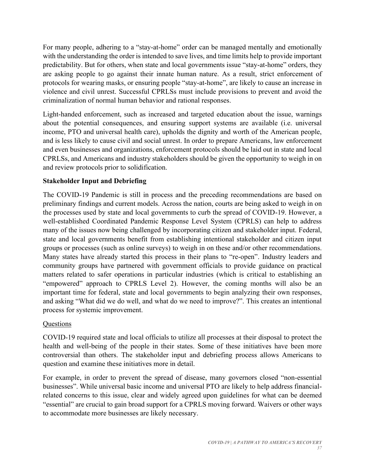For many people, adhering to a "stay-at-home" order can be managed mentally and emotionally with the understanding the order is intended to save lives, and time limits help to provide important predictability. But for others, when state and local governments issue "stay-at-home" orders, they are asking people to go against their innate human nature. As a result, strict enforcement of protocols for wearing masks, or ensuring people "stay-at-home", are likely to cause an increase in violence and civil unrest. Successful CPRLSs must include provisions to prevent and avoid the criminalization of normal human behavior and rational responses.

Light-handed enforcement, such as increased and targeted education about the issue, warnings about the potential consequences, and ensuring support systems are available (i.e. universal income, PTO and universal health care), upholds the dignity and worth of the American people, and is less likely to cause civil and social unrest. In order to prepare Americans, law enforcement and even businesses and organizations, enforcement protocols should be laid out in state and local CPRLSs, and Americans and industry stakeholders should be given the opportunity to weigh in on and review protocols prior to solidification.

## **Stakeholder Input and Debriefing**

The COVID-19 Pandemic is still in process and the preceding recommendations are based on preliminary findings and current models. Across the nation, courts are being asked to weigh in on the processes used by state and local governments to curb the spread of COVID-19. However, a well-established Coordinated Pandemic Response Level System (CPRLS) can help to address many of the issues now being challenged by incorporating citizen and stakeholder input. Federal, state and local governments benefit from establishing intentional stakeholder and citizen input groups or processes (such as online surveys) to weigh in on these and/or other recommendations. Many states have already started this process in their plans to "re-open". Industry leaders and community groups have partnered with government officials to provide guidance on practical matters related to safer operations in particular industries (which is critical to establishing an "empowered" approach to CPRLS Level 2). However, the coming months will also be an important time for federal, state and local governments to begin analyzing their own responses, and asking "What did we do well, and what do we need to improve?". This creates an intentional process for systemic improvement.

## Questions

COVID-19 required state and local officials to utilize all processes at their disposal to protect the health and well-being of the people in their states. Some of these initiatives have been more controversial than others. The stakeholder input and debriefing process allows Americans to question and examine these initiatives more in detail.

For example, in order to prevent the spread of disease, many governors closed "non-essential businesses". While universal basic income and universal PTO are likely to help address financialrelated concerns to this issue, clear and widely agreed upon guidelines for what can be deemed "essential" are crucial to gain broad support for a CPRLS moving forward. Waivers or other ways to accommodate more businesses are likely necessary.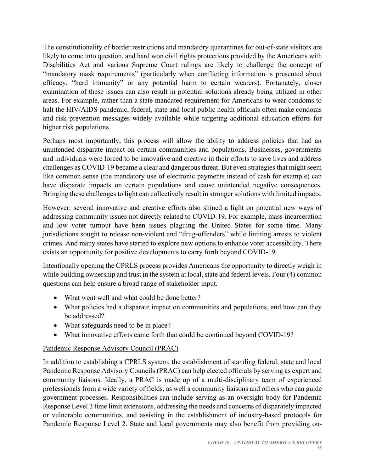The constitutionality of border restrictions and mandatory quarantines for out-of-state visitors are likely to come into question, and hard won civil rights protections provided by the Americans with Disabilities Act and various Supreme Court rulings are likely to challenge the concept of "mandatory mask requirements" (particularly when conflicting information is presented about efficacy, "herd immunity" or any potential harm to certain wearers). Fortunately, closer examination of these issues can also result in potential solutions already being utilized in other areas. For example, rather than a state mandated requirement for Americans to wear condoms to halt the HIV/AIDS pandemic, federal, state and local public health officials often make condoms and risk prevention messages widely available while targeting additional education efforts for higher risk populations.

Perhaps most importantly, this process will allow the ability to address policies that had an unintended disparate impact on certain communities and populations. Businesses, governments and individuals were forced to be innovative and creative in their efforts to save lives and address challenges as COVID-19 became a clear and dangerous threat. But even strategies that might seem like common sense (the mandatory use of electronic payments instead of cash for example) can have disparate impacts on certain populations and cause unintended negative consequences. Bringing these challenges to light can collectively result in stronger solutions with limited impacts.

However, several innovative and creative efforts also shined a light on potential new ways of addressing community issues not directly related to COVID-19. For example, mass incarceration and low voter turnout have been issues plaguing the United States for some time. Many jurisdictions sought to release non-violent and "drug-offenders" while limiting arrests to violent crimes. And many states have started to explore new options to enhance voter accessibility. There exists an opportunity for positive developments to carry forth beyond COVID-19.

Intentionally opening the CPRLS process provides Americans the opportunity to directly weigh in while building ownership and trust in the system at local, state and federal levels. Four (4) common questions can help ensure a broad range of stakeholder input.

- What went well and what could be done better?
- What policies had a disparate impact on communities and populations, and how can they be addressed?
- What safeguards need to be in place?
- What innovative efforts came forth that could be continued beyond COVID-19?

## Pandemic Response Advisory Council (PRAC)

In addition to establishing a CPRLS system, the establishment of standing federal, state and local Pandemic Response Advisory Councils (PRAC) can help elected officials by serving as expert and community liaisons. Ideally, a PRAC is made up of a multi-disciplinary team of experienced professionals from a wide variety of fields, as well a community liaisons and others who can guide government processes. Responsibilities can include serving as an oversight body for Pandemic Response Level 3 time limit extensions, addressing the needs and concerns of disparately impacted or vulnerable communities, and assisting in the establishment of industry-based protocols for Pandemic Response Level 2. State and local governments may also benefit from providing on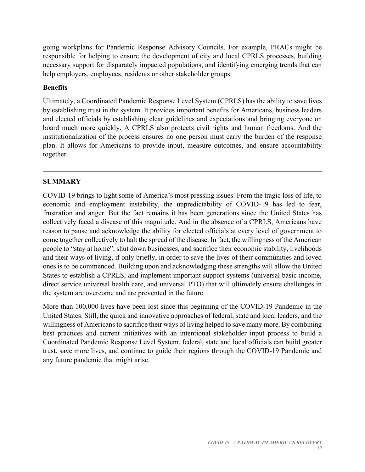going workplans for Pandemic Response Advisory Councils. For example, PRACs might be responsible for helping to ensure the development of city and local CPRLS processes, building necessary support for disparately impacted populations, and identifying emerging trends that can help employers, employees, residents or other stakeholder groups.

## **Benefits**

Ultimately, a Coordinated Pandemic Response Level System (CPRLS) has the ability to save lives by establishing trust in the system. It provides important benefits for Americans, business leaders and elected officials by establishing clear guidelines and expectations and bringing everyone on board much more quickly. A CPRLS also protects civil rights and human freedoms. And the institutionalization of the process ensures no one person must carry the burden of the response plan. It allows for Americans to provide input, measure outcomes, and ensure accountability together.

## **SUMMARY**

COVID-19 brings to light some of America's most pressing issues. From the tragic loss of life, to economic and employment instability, the unpredictability of COVID-19 has led to fear, frustration and anger. But the fact remains it has been generations since the United States has collectively faced a disease of this magnitude. And in the absence of a CPRLS, Americans have reason to pause and acknowledge the ability for elected officials at every level of government to come together collectively to halt the spread of the disease. In fact, the willingness of the American people to "stay at home", shut down businesses, and sacrifice their economic stability, livelihoods and their ways of living, if only briefly, in order to save the lives of their communities and loved ones is to be commended. Building upon and acknowledging these strengths will allow the United States to establish a CPRLS, and implement important support systems (universal basic income, direct service universal health care, and universal PTO) that will ultimately ensure challenges in the system are overcome and are prevented in the future.

More than 100,000 lives have been lost since this beginning of the COVID-19 Pandemic in the United States. Still, the quick and innovative approaches of federal, state and local leaders, and the willingness of Americans to sacrifice their ways of living helped to save many more. By combining best practices and current initiatives with an intentional stakeholder input process to build a Coordinated Pandemic Response Level System, federal, state and local officials can build greater trust, save more lives, and continue to guide their regions through the COVID-19 Pandemic and any future pandemic that might arise.